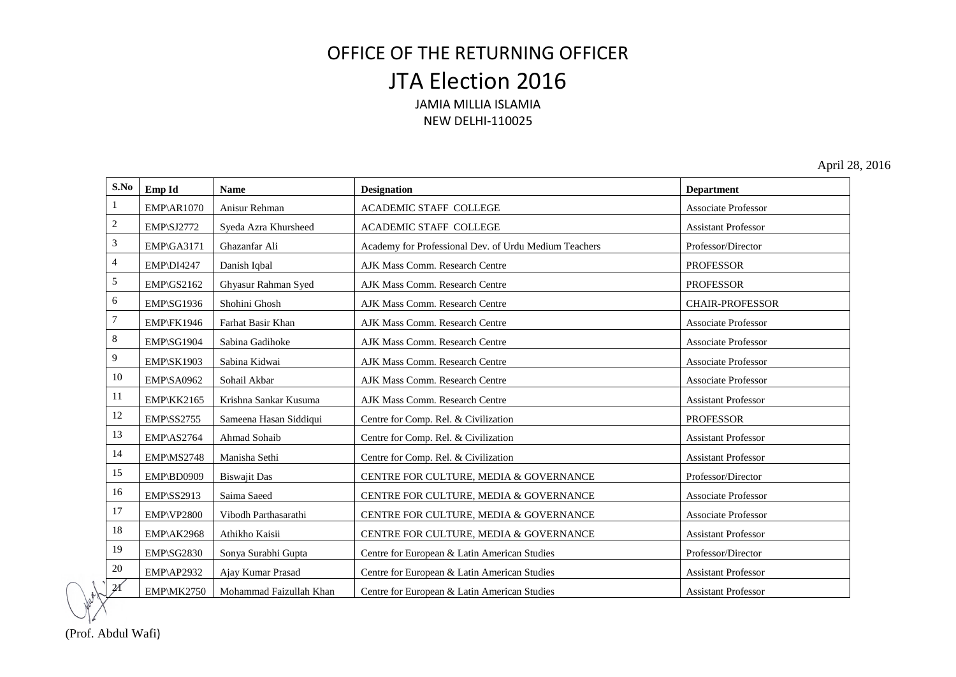#### OFFICE OF THE RETURNING OFFICER JTA Election 2016 JAMIA MILLIA ISLAMIA

NEW DELHI-110025

April 28, 2016

| S.No             | Emp Id     | <b>Name</b>             | <b>Designation</b>                                    | <b>Department</b>          |
|------------------|------------|-------------------------|-------------------------------------------------------|----------------------------|
| -1               | EMP\AR1070 | Anisur Rehman           | ACADEMIC STAFF COLLEGE                                | <b>Associate Professor</b> |
| $\boldsymbol{2}$ | EMP\SJ2772 | Syeda Azra Khursheed    | ACADEMIC STAFF COLLEGE                                | <b>Assistant Professor</b> |
| 3                | EMP\GA3171 | Ghazanfar Ali           | Academy for Professional Dev. of Urdu Medium Teachers | Professor/Director         |
| $\overline{4}$   | EMP\DI4247 | Danish Iqbal            | AJK Mass Comm. Research Centre                        | <b>PROFESSOR</b>           |
| 5                | EMP\GS2162 | Ghyasur Rahman Syed     | AJK Mass Comm. Research Centre                        | <b>PROFESSOR</b>           |
| 6                | EMP\SG1936 | Shohini Ghosh           | AJK Mass Comm. Research Centre                        | <b>CHAIR-PROFESSOR</b>     |
| $\overline{7}$   | EMP\FK1946 | Farhat Basir Khan       | AJK Mass Comm. Research Centre                        | <b>Associate Professor</b> |
| 8                | EMP\SG1904 | Sabina Gadihoke         | AJK Mass Comm. Research Centre                        | Associate Professor        |
| 9                | EMP\SK1903 | Sabina Kidwai           | AJK Mass Comm. Research Centre                        | <b>Associate Professor</b> |
| $10\,$           | EMP\SA0962 | Sohail Akbar            | AJK Mass Comm. Research Centre                        | <b>Associate Professor</b> |
| 11               | EMP\KK2165 | Krishna Sankar Kusuma   | AJK Mass Comm. Research Centre                        | Assistant Professor        |
| 12               | EMP\SS2755 | Sameena Hasan Siddiqui  | Centre for Comp. Rel. & Civilization                  | <b>PROFESSOR</b>           |
| 13               | EMP\AS2764 | Ahmad Sohaib            | Centre for Comp. Rel. & Civilization                  | <b>Assistant Professor</b> |
| 14               | EMP\MS2748 | Manisha Sethi           | Centre for Comp. Rel. & Civilization                  | <b>Assistant Professor</b> |
| 15               | EMP\BD0909 | <b>Biswajit Das</b>     | CENTRE FOR CULTURE, MEDIA & GOVERNANCE                | Professor/Director         |
| 16               | EMP\SS2913 | Saima Saeed             | CENTRE FOR CULTURE, MEDIA & GOVERNANCE                | <b>Associate Professor</b> |
| 17               | EMP\VP2800 | Vibodh Parthasarathi    | CENTRE FOR CULTURE, MEDIA & GOVERNANCE                | Associate Professor        |
| 18               | EMP\AK2968 | Athikho Kaisii          | CENTRE FOR CULTURE, MEDIA & GOVERNANCE                | <b>Assistant Professor</b> |
| 19               | EMP\SG2830 | Sonya Surabhi Gupta     | Centre for European & Latin American Studies          | Professor/Director         |
| 20               | EMP\AP2932 | Ajay Kumar Prasad       | Centre for European & Latin American Studies          | <b>Assistant Professor</b> |
| 21               | EMP\MK2750 | Mohammad Faizullah Khan | Centre for European & Latin American Studies          | <b>Assistant Professor</b> |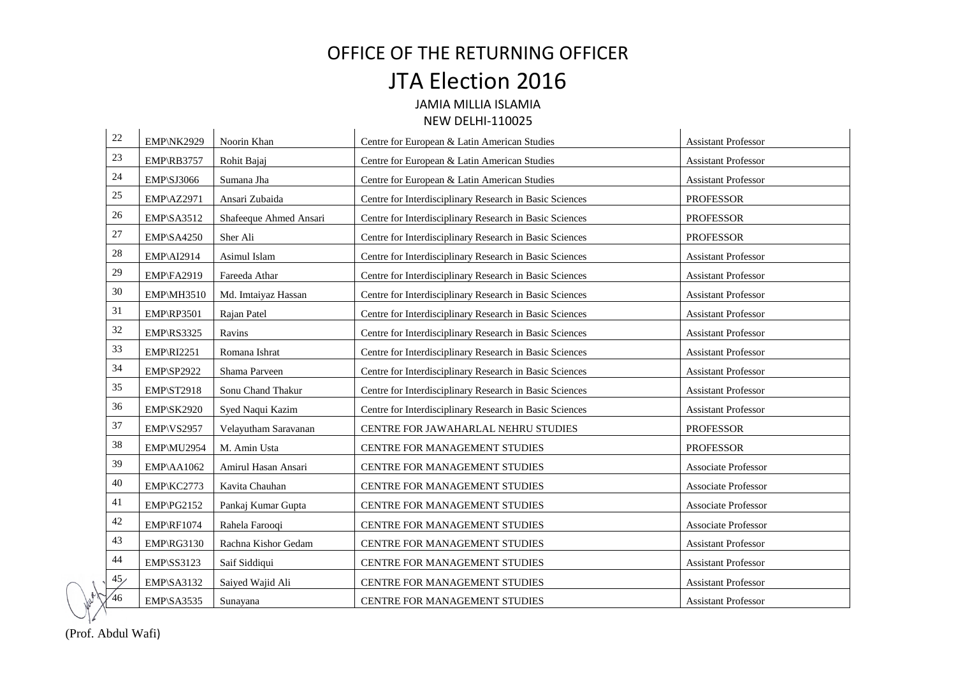# JTA Election 2016

JAMIA MILLIA ISLAMIA

| $22\,$ | EMP\NK2929        | Noorin Khan            | Centre for European & Latin American Studies            | <b>Assistant Professor</b> |
|--------|-------------------|------------------------|---------------------------------------------------------|----------------------------|
| 23     | EMP\RB3757        | Rohit Bajaj            | Centre for European & Latin American Studies            | <b>Assistant Professor</b> |
| 24     | <b>EMP\SJ3066</b> | Sumana Jha             | Centre for European & Latin American Studies            | <b>Assistant Professor</b> |
| $25\,$ | EMP\AZ2971        | Ansari Zubaida         | Centre for Interdisciplinary Research in Basic Sciences | <b>PROFESSOR</b>           |
| 26     | EMP\SA3512        | Shafeeque Ahmed Ansari | Centre for Interdisciplinary Research in Basic Sciences | <b>PROFESSOR</b>           |
| $27\,$ | EMP\SA4250        | Sher Ali               | Centre for Interdisciplinary Research in Basic Sciences | <b>PROFESSOR</b>           |
| $28\,$ | EMP\AI2914        | Asimul Islam           | Centre for Interdisciplinary Research in Basic Sciences | <b>Assistant Professor</b> |
| $29\,$ | EMP\FA2919        | Fareeda Athar          | Centre for Interdisciplinary Research in Basic Sciences | <b>Assistant Professor</b> |
| $30\,$ | EMP\MH3510        | Md. Imtaiyaz Hassan    | Centre for Interdisciplinary Research in Basic Sciences | <b>Assistant Professor</b> |
| 31     | EMP\RP3501        | Rajan Patel            | Centre for Interdisciplinary Research in Basic Sciences | <b>Assistant Professor</b> |
| 32     | <b>EMP\RS3325</b> | Ravins                 | Centre for Interdisciplinary Research in Basic Sciences | <b>Assistant Professor</b> |
| 33     | <b>EMP\RI2251</b> | Romana Ishrat          | Centre for Interdisciplinary Research in Basic Sciences | <b>Assistant Professor</b> |
| 34     | EMP\SP2922        | Shama Parveen          | Centre for Interdisciplinary Research in Basic Sciences | <b>Assistant Professor</b> |
| 35     | EMP\ST2918        | Sonu Chand Thakur      | Centre for Interdisciplinary Research in Basic Sciences | <b>Assistant Professor</b> |
| 36     | EMP\SK2920        | Syed Naqui Kazim       | Centre for Interdisciplinary Research in Basic Sciences | <b>Assistant Professor</b> |
| 37     | EMP\VS2957        | Velayutham Saravanan   | CENTRE FOR JAWAHARLAL NEHRU STUDIES                     | <b>PROFESSOR</b>           |
| 38     | EMP\MU2954        | M. Amin Usta           | CENTRE FOR MANAGEMENT STUDIES                           | <b>PROFESSOR</b>           |
| 39     | EMP\AA1062        | Amirul Hasan Ansari    | CENTRE FOR MANAGEMENT STUDIES                           | Associate Professor        |
| $40\,$ | EMP\KC2773        | Kavita Chauhan         | CENTRE FOR MANAGEMENT STUDIES                           | Associate Professor        |
| 41     | EMP\PG2152        | Pankaj Kumar Gupta     | CENTRE FOR MANAGEMENT STUDIES                           | Associate Professor        |
| 42     | EMP\RF1074        | Rahela Farooqi         | CENTRE FOR MANAGEMENT STUDIES                           | Associate Professor        |
| 43     | EMP\RG3130        | Rachna Kishor Gedam    | CENTRE FOR MANAGEMENT STUDIES                           | <b>Assistant Professor</b> |
| 44     | EMP\SS3123        | Saif Siddiqui          | CENTRE FOR MANAGEMENT STUDIES                           | <b>Assistant Professor</b> |
| 45/    | EMP\SA3132        | Saiyed Wajid Ali       | CENTRE FOR MANAGEMENT STUDIES                           | <b>Assistant Professor</b> |
| 46     | EMP\SA3535        | Sunayana               | CENTRE FOR MANAGEMENT STUDIES                           | <b>Assistant Professor</b> |
|        |                   |                        |                                                         |                            |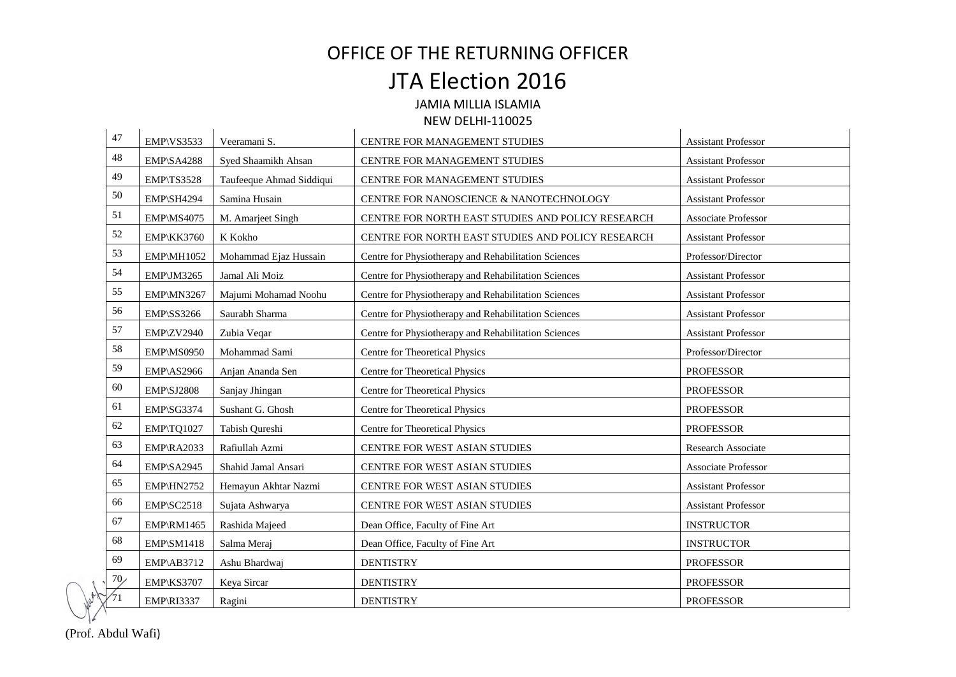# JTA Election 2016

JAMIA MILLIA ISLAMIA

NEW DELHI-110025

| EMP\VS3533 | Veeramani S.             | <b>CENTRE FOR MANAGEMENT STUDIES</b>                 | <b>Assistant Professor</b> |
|------------|--------------------------|------------------------------------------------------|----------------------------|
| EMP\SA4288 | Syed Shaamikh Ahsan      | CENTRE FOR MANAGEMENT STUDIES                        | <b>Assistant Professor</b> |
| EMP\TS3528 | Taufeeque Ahmad Siddiqui | CENTRE FOR MANAGEMENT STUDIES                        | <b>Assistant Professor</b> |
| EMP\SH4294 | Samina Husain            | CENTRE FOR NANOSCIENCE & NANOTECHNOLOGY              | <b>Assistant Professor</b> |
| EMP\MS4075 | M. Amarjeet Singh        | CENTRE FOR NORTH EAST STUDIES AND POLICY RESEARCH    | Associate Professor        |
| EMP\KK3760 | K Kokho                  | CENTRE FOR NORTH EAST STUDIES AND POLICY RESEARCH    | <b>Assistant Professor</b> |
| EMP\MH1052 | Mohammad Ejaz Hussain    | Centre for Physiotherapy and Rehabilitation Sciences | Professor/Director         |
| EMP\JM3265 | Jamal Ali Moiz           | Centre for Physiotherapy and Rehabilitation Sciences | <b>Assistant Professor</b> |
| EMP\MN3267 | Majumi Mohamad Noohu     | Centre for Physiotherapy and Rehabilitation Sciences | <b>Assistant Professor</b> |
| EMP\SS3266 | Saurabh Sharma           | Centre for Physiotherapy and Rehabilitation Sciences | <b>Assistant Professor</b> |
| EMP\ZV2940 | Zubia Veqar              | Centre for Physiotherapy and Rehabilitation Sciences | <b>Assistant Professor</b> |
| EMP\MS0950 | Mohammad Sami            | Centre for Theoretical Physics                       | Professor/Director         |
| EMP\AS2966 | Anjan Ananda Sen         | Centre for Theoretical Physics                       | <b>PROFESSOR</b>           |
| EMP\SJ2808 | Sanjay Jhingan           | Centre for Theoretical Physics                       | <b>PROFESSOR</b>           |
| EMP\SG3374 | Sushant G. Ghosh         | Centre for Theoretical Physics                       | <b>PROFESSOR</b>           |
| EMP\TQ1027 | Tabish Qureshi           | Centre for Theoretical Physics                       | <b>PROFESSOR</b>           |
| EMP\RA2033 | Rafiullah Azmi           | CENTRE FOR WEST ASIAN STUDIES                        | Research Associate         |
| EMP\SA2945 | Shahid Jamal Ansari      | CENTRE FOR WEST ASIAN STUDIES                        | Associate Professor        |
| EMP\HN2752 | Hemayun Akhtar Nazmi     | CENTRE FOR WEST ASIAN STUDIES                        | <b>Assistant Professor</b> |
| EMP\SC2518 | Sujata Ashwarya          | CENTRE FOR WEST ASIAN STUDIES                        | <b>Assistant Professor</b> |
| EMP\RM1465 | Rashida Majeed           | Dean Office, Faculty of Fine Art                     | <b>INSTRUCTOR</b>          |
| EMP\SM1418 | Salma Meraj              | Dean Office, Faculty of Fine Art                     | <b>INSTRUCTOR</b>          |
| EMP\AB3712 | Ashu Bhardwaj            | <b>DENTISTRY</b>                                     | <b>PROFESSOR</b>           |
| EMP\KS3707 | Keya Sircar              | <b>DENTISTRY</b>                                     | <b>PROFESSOR</b>           |
| EMP\RI3337 | Ragini                   | <b>DENTISTRY</b>                                     | <b>PROFESSOR</b>           |
|            |                          |                                                      |                            |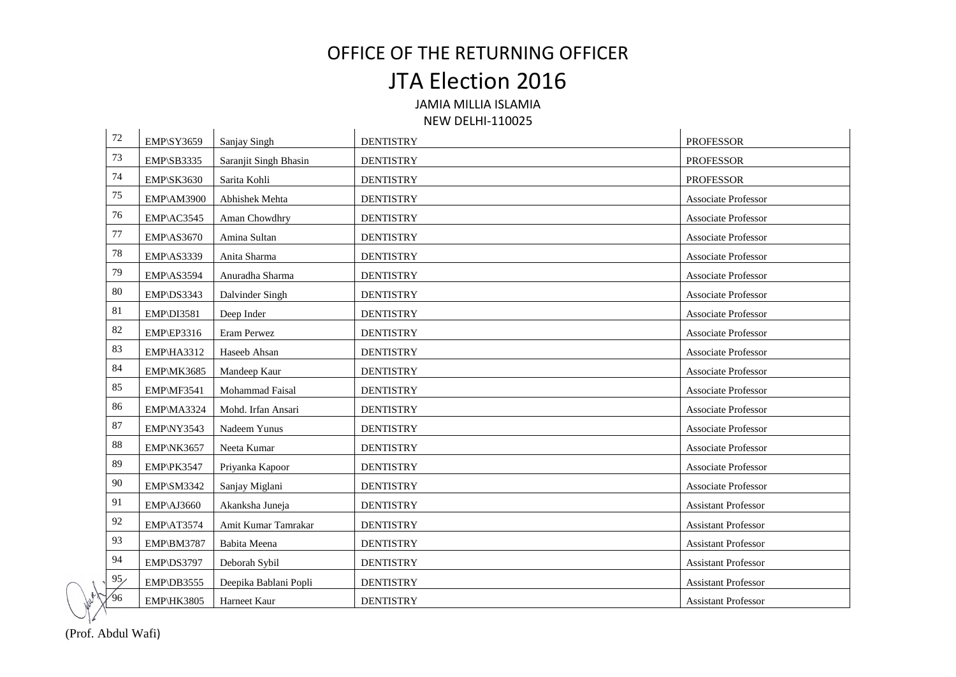## JTA Election 2016

JAMIA MILLIA ISLAMIA

NEW DELHI-110025

| $72\,$         | EMP\SY3659 | Sanjay Singh          | <b>DENTISTRY</b> | <b>PROFESSOR</b>           |
|----------------|------------|-----------------------|------------------|----------------------------|
| $73\,$         | EMP\SB3335 | Saranjit Singh Bhasin | <b>DENTISTRY</b> | <b>PROFESSOR</b>           |
| 74             | EMP\SK3630 | Sarita Kohli          | <b>DENTISTRY</b> | <b>PROFESSOR</b>           |
| $75\,$         | EMP\AM3900 | Abhishek Mehta        | <b>DENTISTRY</b> | Associate Professor        |
| 76             | EMP\AC3545 | Aman Chowdhry         | <b>DENTISTRY</b> | Associate Professor        |
| 77             | EMP\AS3670 | Amina Sultan          | <b>DENTISTRY</b> | Associate Professor        |
| $78\,$         | EMP\AS3339 | Anita Sharma          | <b>DENTISTRY</b> | Associate Professor        |
| 79             | EMP\AS3594 | Anuradha Sharma       | <b>DENTISTRY</b> | <b>Associate Professor</b> |
| 80             | EMP\DS3343 | Dalvinder Singh       | <b>DENTISTRY</b> | Associate Professor        |
| 81             | EMP\DI3581 | Deep Inder            | <b>DENTISTRY</b> | Associate Professor        |
| 82             | EMP\EP3316 | Eram Perwez           | <b>DENTISTRY</b> | Associate Professor        |
| 83             | EMP\HA3312 | Haseeb Ahsan          | <b>DENTISTRY</b> | Associate Professor        |
| 84             | EMP\MK3685 | Mandeep Kaur          | <b>DENTISTRY</b> | Associate Professor        |
| 85             | EMP\MF3541 | Mohammad Faisal       | <b>DENTISTRY</b> | Associate Professor        |
| 86             | EMP\MA3324 | Mohd. Irfan Ansari    | <b>DENTISTRY</b> | Associate Professor        |
| $87\,$         | EMP\NY3543 | Nadeem Yunus          | <b>DENTISTRY</b> | Associate Professor        |
| $88\,$         | EMP\NK3657 | Neeta Kumar           | <b>DENTISTRY</b> | Associate Professor        |
| 89             | EMP\PK3547 | Priyanka Kapoor       | <b>DENTISTRY</b> | Associate Professor        |
| 90             | EMP\SM3342 | Sanjay Miglani        | <b>DENTISTRY</b> | Associate Professor        |
| 91             | EMP\AJ3660 | Akanksha Juneja       | <b>DENTISTRY</b> | <b>Assistant Professor</b> |
| 92             | EMP\AT3574 | Amit Kumar Tamrakar   | <b>DENTISTRY</b> | <b>Assistant Professor</b> |
| 93             | EMP\BM3787 | Babita Meena          | <b>DENTISTRY</b> | <b>Assistant Professor</b> |
| 94             | EMP\DS3797 | Deborah Sybil         | <b>DENTISTRY</b> | <b>Assistant Professor</b> |
| 95/            | EMP\DB3555 | Deepika Bablani Popli | <b>DENTISTRY</b> | <b>Assistant Professor</b> |
| $\frac{1}{96}$ | EMP\HK3805 | Harneet Kaur          | <b>DENTISTRY</b> | <b>Assistant Professor</b> |
|                |            |                       |                  |                            |

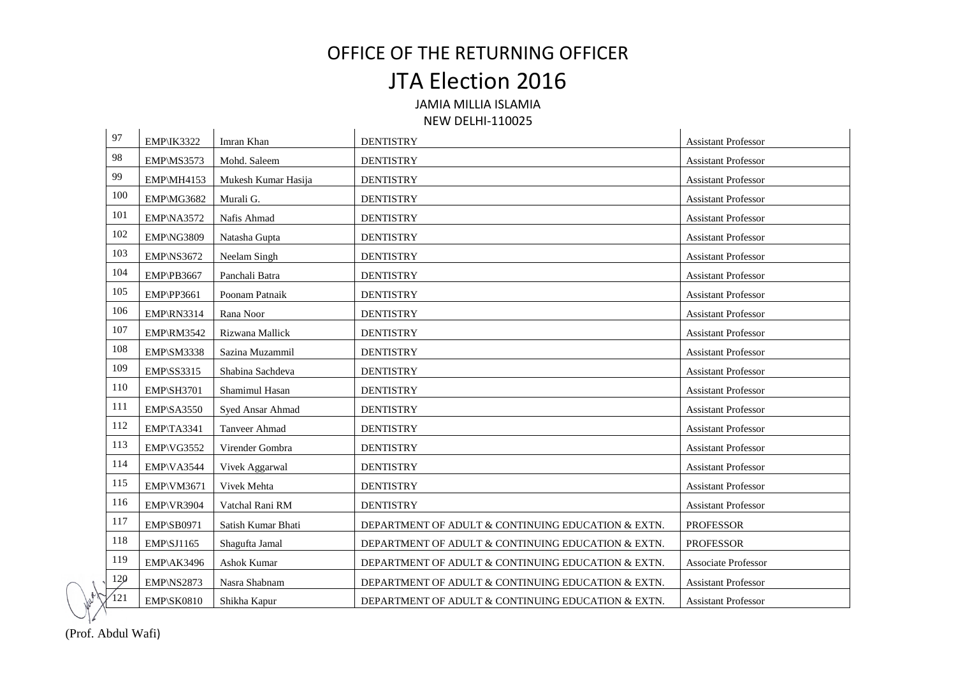## JTA Election 2016

JAMIA MILLIA ISLAMIA

NEW DELHI-110025

| EMP\IK3322 | Imran Khan          | <b>DENTISTRY</b>                                   | <b>Assistant Professor</b> |
|------------|---------------------|----------------------------------------------------|----------------------------|
| EMP\MS3573 | Mohd. Saleem        | <b>DENTISTRY</b>                                   | <b>Assistant Professor</b> |
| EMP\MH4153 | Mukesh Kumar Hasija | <b>DENTISTRY</b>                                   | <b>Assistant Professor</b> |
| EMP\MG3682 | Murali G.           | <b>DENTISTRY</b>                                   | <b>Assistant Professor</b> |
| EMP\NA3572 | Nafis Ahmad         | <b>DENTISTRY</b>                                   | <b>Assistant Professor</b> |
| EMP\NG3809 | Natasha Gupta       | <b>DENTISTRY</b>                                   | <b>Assistant Professor</b> |
| EMP\NS3672 | Neelam Singh        | <b>DENTISTRY</b>                                   | <b>Assistant Professor</b> |
| EMP\PB3667 | Panchali Batra      | <b>DENTISTRY</b>                                   | <b>Assistant Professor</b> |
| EMP\PP3661 | Poonam Patnaik      | <b>DENTISTRY</b>                                   | <b>Assistant Professor</b> |
| EMP\RN3314 | Rana Noor           | <b>DENTISTRY</b>                                   | <b>Assistant Professor</b> |
| EMP\RM3542 | Rizwana Mallick     | <b>DENTISTRY</b>                                   | <b>Assistant Professor</b> |
| EMP\SM3338 | Sazina Muzammil     | <b>DENTISTRY</b>                                   | <b>Assistant Professor</b> |
| EMP\SS3315 | Shabina Sachdeva    | <b>DENTISTRY</b>                                   | <b>Assistant Professor</b> |
| EMP\SH3701 | Shamimul Hasan      | <b>DENTISTRY</b>                                   | <b>Assistant Professor</b> |
| EMP\SA3550 | Syed Ansar Ahmad    | <b>DENTISTRY</b>                                   | <b>Assistant Professor</b> |
| EMP\TA3341 | Tanveer Ahmad       | <b>DENTISTRY</b>                                   | <b>Assistant Professor</b> |
| EMP\VG3552 | Virender Gombra     | <b>DENTISTRY</b>                                   | <b>Assistant Professor</b> |
| EMP\VA3544 | Vivek Aggarwal      | <b>DENTISTRY</b>                                   | <b>Assistant Professor</b> |
| EMP\VM3671 | Vivek Mehta         | <b>DENTISTRY</b>                                   | <b>Assistant Professor</b> |
| EMP\VR3904 | Vatchal Rani RM     | <b>DENTISTRY</b>                                   | <b>Assistant Professor</b> |
| EMP\SB0971 | Satish Kumar Bhati  | DEPARTMENT OF ADULT & CONTINUING EDUCATION & EXTN. | <b>PROFESSOR</b>           |
| EMP\SJ1165 | Shagufta Jamal      | DEPARTMENT OF ADULT & CONTINUING EDUCATION & EXTN. | <b>PROFESSOR</b>           |
| EMP\AK3496 | Ashok Kumar         | DEPARTMENT OF ADULT & CONTINUING EDUCATION & EXTN. | Associate Professor        |
| EMP\NS2873 | Nasra Shabnam       | DEPARTMENT OF ADULT & CONTINUING EDUCATION & EXTN. | <b>Assistant Professor</b> |
| EMP\SK0810 | Shikha Kapur        | DEPARTMENT OF ADULT & CONTINUING EDUCATION & EXTN. | <b>Assistant Professor</b> |
|            |                     |                                                    |                            |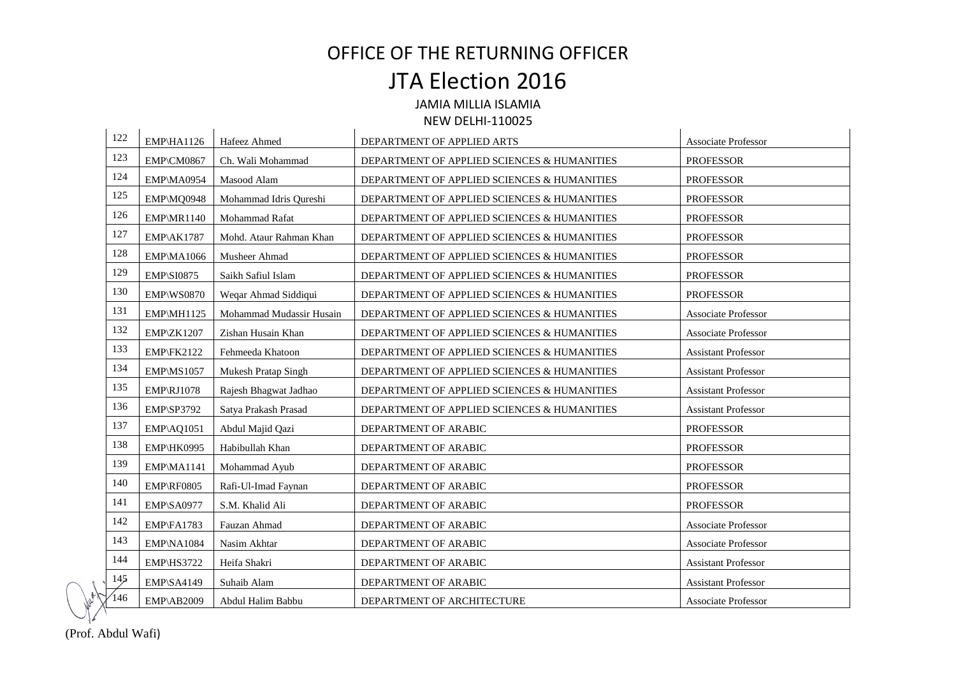# JTA Election 2016

JAMIA MILLIA ISLAMIA

| 122 | EMP\HA1126        | Hafeez Ahmed             | DEPARTMENT OF APPLIED ARTS                  | <b>Associate Professor</b> |
|-----|-------------------|--------------------------|---------------------------------------------|----------------------------|
| 123 | EMP\CM0867        | Ch. Wali Mohammad        | DEPARTMENT OF APPLIED SCIENCES & HUMANITIES | <b>PROFESSOR</b>           |
| 124 | EMP\MA0954        | Masood Alam              | DEPARTMENT OF APPLIED SCIENCES & HUMANITIES | <b>PROFESSOR</b>           |
| 125 | EMP\MQ0948        | Mohammad Idris Qureshi   | DEPARTMENT OF APPLIED SCIENCES & HUMANITIES | <b>PROFESSOR</b>           |
| 126 | EMP\MR1140        | Mohammad Rafat           | DEPARTMENT OF APPLIED SCIENCES & HUMANITIES | <b>PROFESSOR</b>           |
| 127 | EMP\AK1787        | Mohd. Ataur Rahman Khan  | DEPARTMENT OF APPLIED SCIENCES & HUMANITIES | <b>PROFESSOR</b>           |
| 128 | EMP\MA1066        | Musheer Ahmad            | DEPARTMENT OF APPLIED SCIENCES & HUMANITIES | <b>PROFESSOR</b>           |
| 129 | <b>EMP\SI0875</b> | Saikh Safiul Islam       | DEPARTMENT OF APPLIED SCIENCES & HUMANITIES | <b>PROFESSOR</b>           |
| 130 | EMP\WS0870        | Weqar Ahmad Siddiqui     | DEPARTMENT OF APPLIED SCIENCES & HUMANITIES | <b>PROFESSOR</b>           |
| 131 | EMP\MH1125        | Mohammad Mudassir Husain | DEPARTMENT OF APPLIED SCIENCES & HUMANITIES | <b>Associate Professor</b> |
| 132 | EMP\ZK1207        | Zishan Husain Khan       | DEPARTMENT OF APPLIED SCIENCES & HUMANITIES | <b>Associate Professor</b> |
| 133 | EMP\FK2122        | Fehmeeda Khatoon         | DEPARTMENT OF APPLIED SCIENCES & HUMANITIES | <b>Assistant Professor</b> |
| 134 | EMP\MS1057        | Mukesh Pratap Singh      | DEPARTMENT OF APPLIED SCIENCES & HUMANITIES | <b>Assistant Professor</b> |
| 135 | EMP\RJ1078        | Rajesh Bhagwat Jadhao    | DEPARTMENT OF APPLIED SCIENCES & HUMANITIES | Assistant Professor        |
| 136 | EMP\SP3792        | Satya Prakash Prasad     | DEPARTMENT OF APPLIED SCIENCES & HUMANITIES | <b>Assistant Professor</b> |
| 137 | EMP\AQ1051        | Abdul Majid Qazi         | DEPARTMENT OF ARABIC                        | <b>PROFESSOR</b>           |
| 138 | EMP\HK0995        | Habibullah Khan          | DEPARTMENT OF ARABIC                        | <b>PROFESSOR</b>           |
| 139 | EMP\MA1141        | Mohammad Ayub            | DEPARTMENT OF ARABIC                        | <b>PROFESSOR</b>           |
| 140 | EMP\RF0805        | Rafi-Ul-Imad Faynan      | DEPARTMENT OF ARABIC                        | <b>PROFESSOR</b>           |
| 141 | EMP\SA0977        | S.M. Khalid Ali          | DEPARTMENT OF ARABIC                        | <b>PROFESSOR</b>           |
| 142 | EMP\FA1783        | Fauzan Ahmad             | DEPARTMENT OF ARABIC                        | Associate Professor        |
| 143 | EMP\NA1084        | Nasim Akhtar             | DEPARTMENT OF ARABIC                        | Associate Professor        |
| 144 | EMP\HS3722        | Heifa Shakri             | DEPARTMENT OF ARABIC                        | <b>Assistant Professor</b> |
| 145 | EMP\SA4149        | Suhaib Alam              | DEPARTMENT OF ARABIC                        | <b>Assistant Professor</b> |
| 146 | EMP\AB2009        | Abdul Halim Babbu        | DEPARTMENT OF ARCHITECTURE                  | Associate Professor        |
|     |                   |                          |                                             |                            |

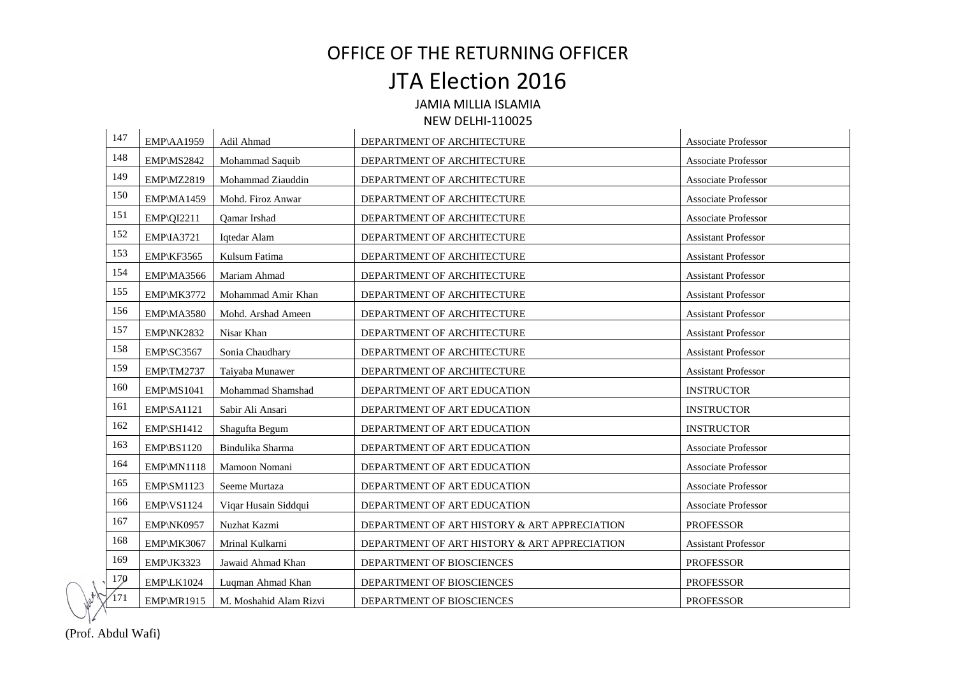# JTA Election 2016

JAMIA MILLIA ISLAMIA

NEW DELHI-110025

| 147 | EMP\AA1959 | Adil Ahmad             | DEPARTMENT OF ARCHITECTURE                   | <b>Associate Professor</b> |
|-----|------------|------------------------|----------------------------------------------|----------------------------|
| 148 | EMP\MS2842 | Mohammad Saquib        | DEPARTMENT OF ARCHITECTURE                   | <b>Associate Professor</b> |
| 149 | EMP\MZ2819 | Mohammad Ziauddin      | DEPARTMENT OF ARCHITECTURE                   | Associate Professor        |
| 150 | EMP\MA1459 | Mohd. Firoz Anwar      | DEPARTMENT OF ARCHITECTURE                   | <b>Associate Professor</b> |
| 151 | EMP\QI2211 | Qamar Irshad           | DEPARTMENT OF ARCHITECTURE                   | <b>Associate Professor</b> |
| 152 | EMP\IA3721 | Iqtedar Alam           | DEPARTMENT OF ARCHITECTURE                   | <b>Assistant Professor</b> |
| 153 | EMP\KF3565 | Kulsum Fatima          | DEPARTMENT OF ARCHITECTURE                   | <b>Assistant Professor</b> |
| 154 | EMP\MA3566 | Mariam Ahmad           | DEPARTMENT OF ARCHITECTURE                   | <b>Assistant Professor</b> |
| 155 | EMP\MK3772 | Mohammad Amir Khan     | DEPARTMENT OF ARCHITECTURE                   | <b>Assistant Professor</b> |
| 156 | EMP\MA3580 | Mohd. Arshad Ameen     | DEPARTMENT OF ARCHITECTURE                   | <b>Assistant Professor</b> |
| 157 | EMP\NK2832 | Nisar Khan             | DEPARTMENT OF ARCHITECTURE                   | <b>Assistant Professor</b> |
| 158 | EMP\SC3567 | Sonia Chaudhary        | DEPARTMENT OF ARCHITECTURE                   | <b>Assistant Professor</b> |
| 159 | EMP\TM2737 | Taiyaba Munawer        | DEPARTMENT OF ARCHITECTURE                   | <b>Assistant Professor</b> |
| 160 | EMP\MS1041 | Mohammad Shamshad      | DEPARTMENT OF ART EDUCATION                  | <b>INSTRUCTOR</b>          |
| 161 | EMP\SA1121 | Sabir Ali Ansari       | DEPARTMENT OF ART EDUCATION                  | <b>INSTRUCTOR</b>          |
| 162 | EMP\SH1412 | Shagufta Begum         | DEPARTMENT OF ART EDUCATION                  | <b>INSTRUCTOR</b>          |
| 163 | EMP\BS1120 | Bindulika Sharma       | DEPARTMENT OF ART EDUCATION                  | Associate Professor        |
| 164 | EMP\MN1118 | Mamoon Nomani          | DEPARTMENT OF ART EDUCATION                  | Associate Professor        |
| 165 | EMP\SM1123 | Seeme Murtaza          | DEPARTMENT OF ART EDUCATION                  | Associate Professor        |
| 166 | EMP\VS1124 | Viqar Husain Siddqui   | DEPARTMENT OF ART EDUCATION                  | Associate Professor        |
| 167 | EMP\NK0957 | Nuzhat Kazmi           | DEPARTMENT OF ART HISTORY & ART APPRECIATION | <b>PROFESSOR</b>           |
| 168 | EMP\MK3067 | Mrinal Kulkarni        | DEPARTMENT OF ART HISTORY & ART APPRECIATION | <b>Assistant Professor</b> |
| 169 | EMP\JK3323 | Jawaid Ahmad Khan      | DEPARTMENT OF BIOSCIENCES                    | <b>PROFESSOR</b>           |
| 170 | EMP\LK1024 | Luqman Ahmad Khan      | DEPARTMENT OF BIOSCIENCES                    | <b>PROFESSOR</b>           |
| 171 | EMP\MR1915 | M. Moshahid Alam Rizvi | DEPARTMENT OF BIOSCIENCES                    | <b>PROFESSOR</b>           |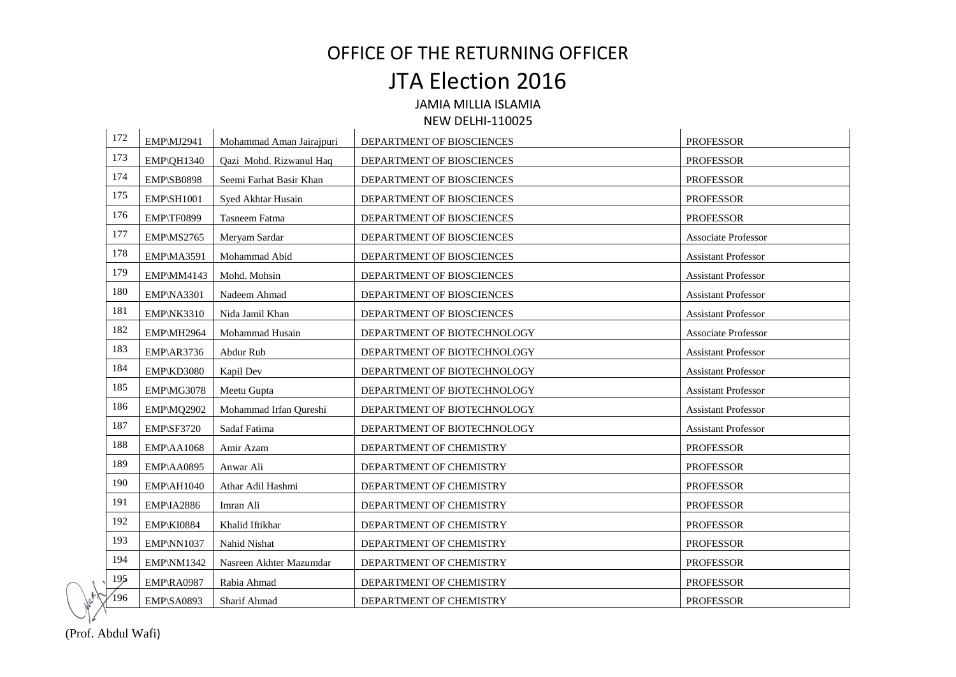# JTA Election 2016

JAMIA MILLIA ISLAMIA

| 172 | EMP\MJ2941 | Mohammad Aman Jairajpuri | DEPARTMENT OF BIOSCIENCES   | <b>PROFESSOR</b>           |
|-----|------------|--------------------------|-----------------------------|----------------------------|
| 173 | EMP\QH1340 | Qazi Mohd. Rizwanul Haq  | DEPARTMENT OF BIOSCIENCES   | <b>PROFESSOR</b>           |
| 174 | EMP\SB0898 | Seemi Farhat Basir Khan  | DEPARTMENT OF BIOSCIENCES   | <b>PROFESSOR</b>           |
| 175 | EMP\SH1001 | Syed Akhtar Husain       | DEPARTMENT OF BIOSCIENCES   | <b>PROFESSOR</b>           |
| 176 | EMP\TF0899 | Tasneem Fatma            | DEPARTMENT OF BIOSCIENCES   | <b>PROFESSOR</b>           |
| 177 | EMP\MS2765 | Meryam Sardar            | DEPARTMENT OF BIOSCIENCES   | Associate Professor        |
| 178 | EMP\MA3591 | Mohammad Abid            | DEPARTMENT OF BIOSCIENCES   | <b>Assistant Professor</b> |
| 179 | EMP\MM4143 | Mohd. Mohsin             | DEPARTMENT OF BIOSCIENCES   | <b>Assistant Professor</b> |
| 180 | EMP\NA3301 | Nadeem Ahmad             | DEPARTMENT OF BIOSCIENCES   | <b>Assistant Professor</b> |
| 181 | EMP\NK3310 | Nida Jamil Khan          | DEPARTMENT OF BIOSCIENCES   | <b>Assistant Professor</b> |
| 182 | EMP\MH2964 | Mohammad Husain          | DEPARTMENT OF BIOTECHNOLOGY | Associate Professor        |
| 183 | EMP\AR3736 | Abdur Rub                | DEPARTMENT OF BIOTECHNOLOGY | <b>Assistant Professor</b> |
| 184 | EMP\KD3080 | Kapil Dev                | DEPARTMENT OF BIOTECHNOLOGY | <b>Assistant Professor</b> |
| 185 | EMP\MG3078 | Meetu Gupta              | DEPARTMENT OF BIOTECHNOLOGY | <b>Assistant Professor</b> |
| 186 | EMP\MQ2902 | Mohammad Irfan Qureshi   | DEPARTMENT OF BIOTECHNOLOGY | <b>Assistant Professor</b> |
| 187 | EMP\SF3720 | Sadaf Fatima             | DEPARTMENT OF BIOTECHNOLOGY | <b>Assistant Professor</b> |
| 188 | EMP\AA1068 | Amir Azam                | DEPARTMENT OF CHEMISTRY     | <b>PROFESSOR</b>           |
| 189 | EMP\AA0895 | Anwar Ali                | DEPARTMENT OF CHEMISTRY     | <b>PROFESSOR</b>           |
| 190 | EMP\AH1040 | Athar Adil Hashmi        | DEPARTMENT OF CHEMISTRY     | <b>PROFESSOR</b>           |
| 191 | EMP\IA2886 | Imran Ali                | DEPARTMENT OF CHEMISTRY     | <b>PROFESSOR</b>           |
| 192 | EMP\KI0884 | Khalid Iftikhar          | DEPARTMENT OF CHEMISTRY     | <b>PROFESSOR</b>           |
| 193 | EMP\NN1037 | Nahid Nishat             | DEPARTMENT OF CHEMISTRY     | <b>PROFESSOR</b>           |
| 194 | EMP\NM1342 | Nasreen Akhter Mazumdar  | DEPARTMENT OF CHEMISTRY     | <b>PROFESSOR</b>           |
| 195 | EMP\RA0987 | Rabia Ahmad              | DEPARTMENT OF CHEMISTRY     | <b>PROFESSOR</b>           |
| 196 | EMP\SA0893 | Sharif Ahmad             | DEPARTMENT OF CHEMISTRY     | <b>PROFESSOR</b>           |
|     |            |                          |                             |                            |

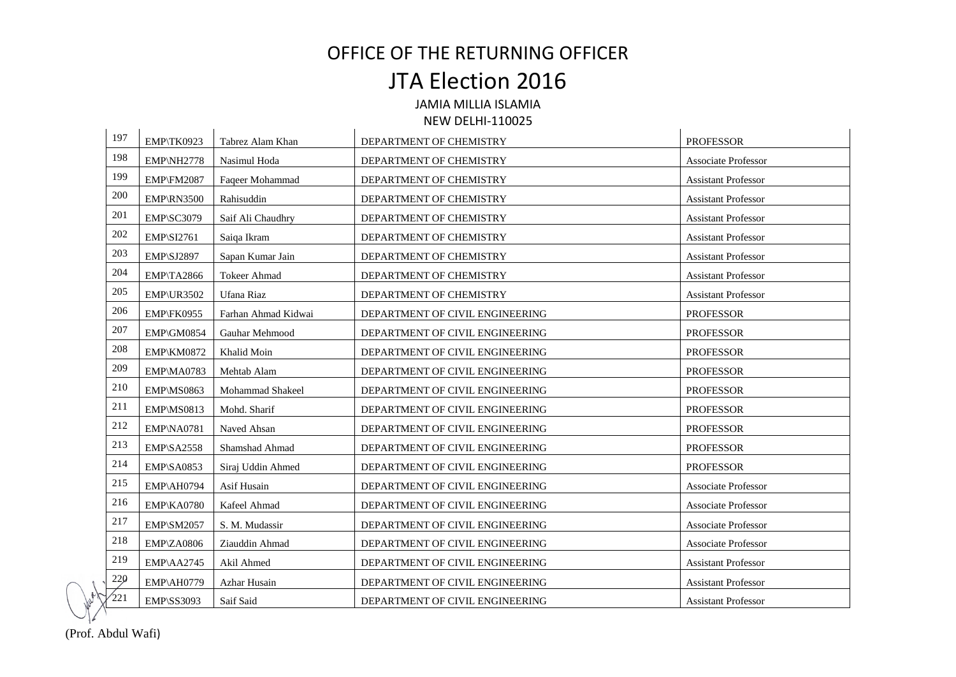# JTA Election 2016

JAMIA MILLIA ISLAMIA

| EMP\TK0923 | Tabrez Alam Khan    | DEPARTMENT OF CHEMISTRY         | <b>PROFESSOR</b>           |
|------------|---------------------|---------------------------------|----------------------------|
| EMP\NH2778 | Nasimul Hoda        | DEPARTMENT OF CHEMISTRY         | Associate Professor        |
| EMP\FM2087 | Faqeer Mohammad     | DEPARTMENT OF CHEMISTRY         | <b>Assistant Professor</b> |
| EMP\RN3500 | Rahisuddin          | DEPARTMENT OF CHEMISTRY         | <b>Assistant Professor</b> |
| EMP\SC3079 | Saif Ali Chaudhry   | DEPARTMENT OF CHEMISTRY         | <b>Assistant Professor</b> |
| EMP\SI2761 | Saiqa Ikram         | DEPARTMENT OF CHEMISTRY         | <b>Assistant Professor</b> |
| EMP\SJ2897 | Sapan Kumar Jain    | DEPARTMENT OF CHEMISTRY         | <b>Assistant Professor</b> |
| EMP\TA2866 | Tokeer Ahmad        | DEPARTMENT OF CHEMISTRY         | <b>Assistant Professor</b> |
| EMP\UR3502 | Ufana Riaz          | DEPARTMENT OF CHEMISTRY         | <b>Assistant Professor</b> |
| EMP\FK0955 | Farhan Ahmad Kidwai | DEPARTMENT OF CIVIL ENGINEERING | <b>PROFESSOR</b>           |
| EMP\GM0854 | Gauhar Mehmood      | DEPARTMENT OF CIVIL ENGINEERING | <b>PROFESSOR</b>           |
| EMP\KM0872 | Khalid Moin         | DEPARTMENT OF CIVIL ENGINEERING | <b>PROFESSOR</b>           |
| EMP\MA0783 | Mehtab Alam         | DEPARTMENT OF CIVIL ENGINEERING | <b>PROFESSOR</b>           |
| EMP\MS0863 | Mohammad Shakeel    | DEPARTMENT OF CIVIL ENGINEERING | <b>PROFESSOR</b>           |
| EMP\MS0813 | Mohd. Sharif        | DEPARTMENT OF CIVIL ENGINEERING | <b>PROFESSOR</b>           |
| EMP\NA0781 | Naved Ahsan         | DEPARTMENT OF CIVIL ENGINEERING | <b>PROFESSOR</b>           |
| EMP\SA2558 | Shamshad Ahmad      | DEPARTMENT OF CIVIL ENGINEERING | <b>PROFESSOR</b>           |
| EMP\SA0853 | Siraj Uddin Ahmed   | DEPARTMENT OF CIVIL ENGINEERING | <b>PROFESSOR</b>           |
| EMP\AH0794 | Asif Husain         | DEPARTMENT OF CIVIL ENGINEERING | <b>Associate Professor</b> |
| EMP\KA0780 | Kafeel Ahmad        | DEPARTMENT OF CIVIL ENGINEERING | Associate Professor        |
| EMP\SM2057 | S. M. Mudassir      | DEPARTMENT OF CIVIL ENGINEERING | Associate Professor        |
| EMP\ZA0806 | Ziauddin Ahmad      | DEPARTMENT OF CIVIL ENGINEERING | Associate Professor        |
| EMP\AA2745 | Akil Ahmed          | DEPARTMENT OF CIVIL ENGINEERING | <b>Assistant Professor</b> |
| EMP\AH0779 | Azhar Husain        | DEPARTMENT OF CIVIL ENGINEERING | <b>Assistant Professor</b> |
| EMP\SS3093 | Saif Said           | DEPARTMENT OF CIVIL ENGINEERING | <b>Assistant Professor</b> |
|            |                     |                                 |                            |

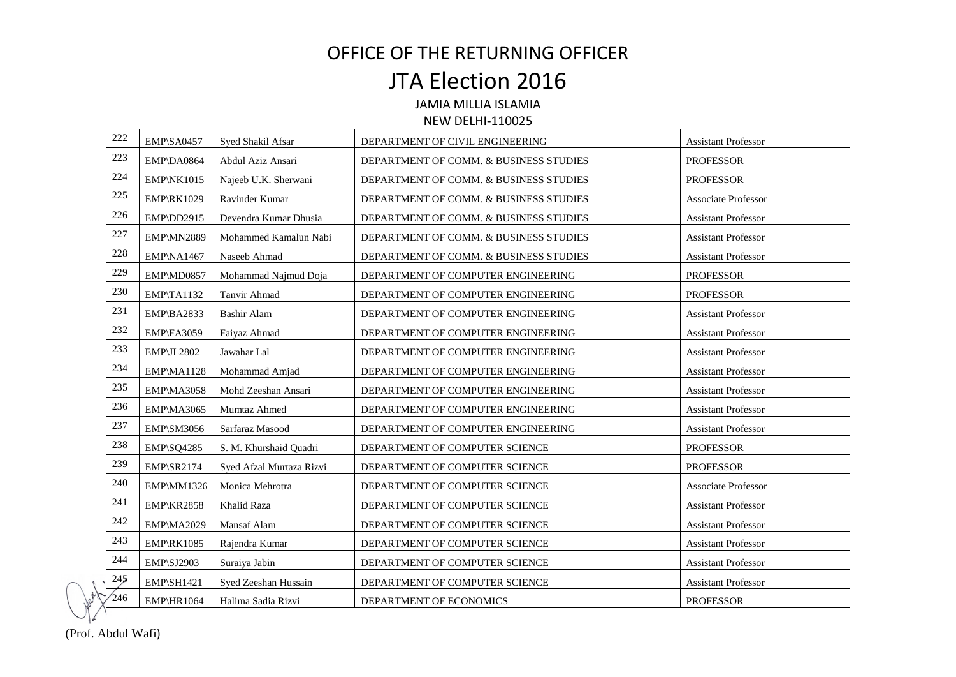# JTA Election 2016

JAMIA MILLIA ISLAMIA

| 222     | EMP\SA0457        | Syed Shakil Afsar        | DEPARTMENT OF CIVIL ENGINEERING        | <b>Assistant Professor</b> |
|---------|-------------------|--------------------------|----------------------------------------|----------------------------|
| 223     | EMP\DA0864        | Abdul Aziz Ansari        | DEPARTMENT OF COMM. & BUSINESS STUDIES | <b>PROFESSOR</b>           |
| 224     | EMP\NK1015        | Najeeb U.K. Sherwani     | DEPARTMENT OF COMM. & BUSINESS STUDIES | <b>PROFESSOR</b>           |
| $225\,$ | <b>EMP\RK1029</b> | Ravinder Kumar           | DEPARTMENT OF COMM. & BUSINESS STUDIES | Associate Professor        |
| 226     | EMP\DD2915        | Devendra Kumar Dhusia    | DEPARTMENT OF COMM. & BUSINESS STUDIES | <b>Assistant Professor</b> |
| 227     | EMP\MN2889        | Mohammed Kamalun Nabi    | DEPARTMENT OF COMM. & BUSINESS STUDIES | <b>Assistant Professor</b> |
| 228     | EMP\NA1467        | Naseeb Ahmad             | DEPARTMENT OF COMM. & BUSINESS STUDIES | <b>Assistant Professor</b> |
| 229     | EMP\MD0857        | Mohammad Najmud Doja     | DEPARTMENT OF COMPUTER ENGINEERING     | <b>PROFESSOR</b>           |
| 230     | EMP\TA1132        | Tanvir Ahmad             | DEPARTMENT OF COMPUTER ENGINEERING     | <b>PROFESSOR</b>           |
| 231     | EMP\BA2833        | Bashir Alam              | DEPARTMENT OF COMPUTER ENGINEERING     | <b>Assistant Professor</b> |
| 232     | EMP\FA3059        | Faiyaz Ahmad             | DEPARTMENT OF COMPUTER ENGINEERING     | <b>Assistant Professor</b> |
| 233     | EMP\JL2802        | Jawahar Lal              | DEPARTMENT OF COMPUTER ENGINEERING     | <b>Assistant Professor</b> |
| 234     | EMP\MA1128        | Mohammad Amjad           | DEPARTMENT OF COMPUTER ENGINEERING     | <b>Assistant Professor</b> |
| 235     | EMP\MA3058        | Mohd Zeeshan Ansari      | DEPARTMENT OF COMPUTER ENGINEERING     | <b>Assistant Professor</b> |
| 236     | EMP\MA3065        | Mumtaz Ahmed             | DEPARTMENT OF COMPUTER ENGINEERING     | <b>Assistant Professor</b> |
| 237     | EMP\SM3056        | Sarfaraz Masood          | DEPARTMENT OF COMPUTER ENGINEERING     | <b>Assistant Professor</b> |
| 238     | EMP\SQ4285        | S. M. Khurshaid Quadri   | DEPARTMENT OF COMPUTER SCIENCE         | <b>PROFESSOR</b>           |
| 239     | EMP\SR2174        | Syed Afzal Murtaza Rizvi | DEPARTMENT OF COMPUTER SCIENCE         | <b>PROFESSOR</b>           |
| 240     | EMP\MM1326        | Monica Mehrotra          | DEPARTMENT OF COMPUTER SCIENCE         | Associate Professor        |
| 241     | EMP\KR2858        | Khalid Raza              | DEPARTMENT OF COMPUTER SCIENCE         | <b>Assistant Professor</b> |
| 242     | EMP\MA2029        | Mansaf Alam              | DEPARTMENT OF COMPUTER SCIENCE         | <b>Assistant Professor</b> |
| 243     | <b>EMP\RK1085</b> | Rajendra Kumar           | DEPARTMENT OF COMPUTER SCIENCE         | <b>Assistant Professor</b> |
| 244     | EMP\SJ2903        | Suraiya Jabin            | DEPARTMENT OF COMPUTER SCIENCE         | <b>Assistant Professor</b> |
| 245     | EMP\SH1421        | Syed Zeeshan Hussain     | DEPARTMENT OF COMPUTER SCIENCE         | <b>Assistant Professor</b> |
| 246     | EMP\HR1064        | Halima Sadia Rizvi       | DEPARTMENT OF ECONOMICS                | <b>PROFESSOR</b>           |
|         |                   |                          |                                        |                            |

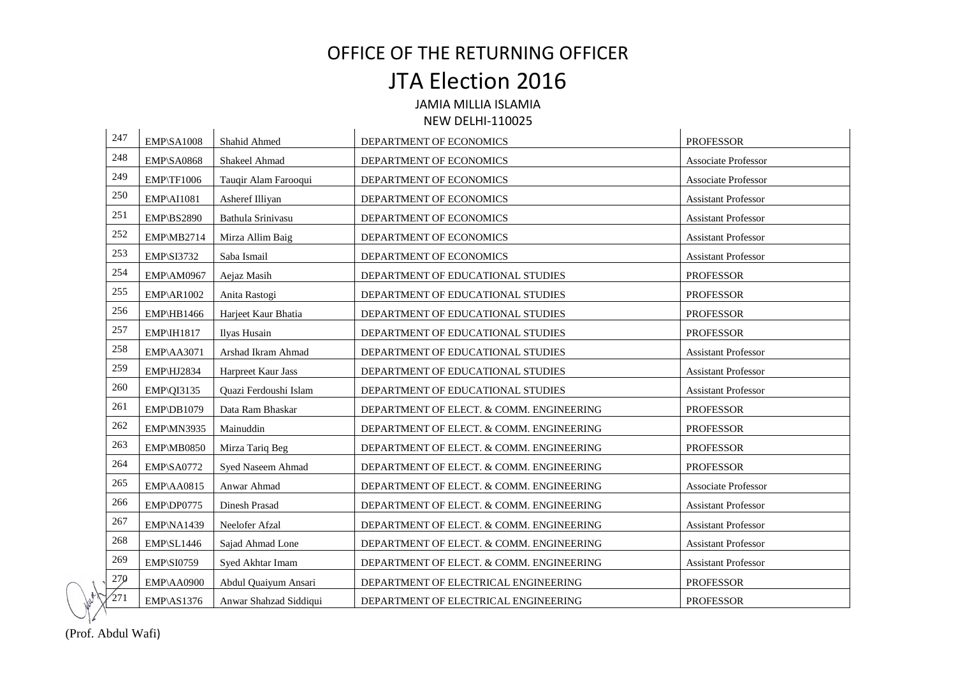# JTA Election 2016

JAMIA MILLIA ISLAMIA

NEW DELHI-110025

| 247      | EMP\SA1008                                                  | Shahid Ahmed           | DEPARTMENT OF ECONOMICS                  | <b>PROFESSOR</b>           |
|----------|-------------------------------------------------------------|------------------------|------------------------------------------|----------------------------|
| 248      | EMP\SA0868                                                  | Shakeel Ahmad          | DEPARTMENT OF ECONOMICS                  | <b>Associate Professor</b> |
| 249      | $\ensuremath{\text{EMP}}\xspace\slash\!\!\!\!\text{TF1006}$ | Tauqir Alam Farooqui   | DEPARTMENT OF ECONOMICS                  | <b>Associate Professor</b> |
| 250      | EMP\AI1081                                                  | Asheref Illiyan        | DEPARTMENT OF ECONOMICS                  | <b>Assistant Professor</b> |
| 251      | EMP\BS2890                                                  | Bathula Srinivasu      | DEPARTMENT OF ECONOMICS                  | <b>Assistant Professor</b> |
| 252      | EMP\MB2714                                                  | Mirza Allim Baig       | DEPARTMENT OF ECONOMICS                  | <b>Assistant Professor</b> |
| 253      | EMP\SI3732                                                  | Saba Ismail            | DEPARTMENT OF ECONOMICS                  | Assistant Professor        |
| 254      | EMP\AM0967                                                  | Aejaz Masih            | DEPARTMENT OF EDUCATIONAL STUDIES        | <b>PROFESSOR</b>           |
| 255      | EMP\AR1002                                                  | Anita Rastogi          | DEPARTMENT OF EDUCATIONAL STUDIES        | <b>PROFESSOR</b>           |
| 256      | EMP\HB1466                                                  | Harjeet Kaur Bhatia    | DEPARTMENT OF EDUCATIONAL STUDIES        | <b>PROFESSOR</b>           |
| 257      | EMP\IH1817                                                  | Ilyas Husain           | DEPARTMENT OF EDUCATIONAL STUDIES        | <b>PROFESSOR</b>           |
| 258      | EMP\AA3071                                                  | Arshad Ikram Ahmad     | DEPARTMENT OF EDUCATIONAL STUDIES        | <b>Assistant Professor</b> |
| 259      | EMP\HJ2834                                                  | Harpreet Kaur Jass     | DEPARTMENT OF EDUCATIONAL STUDIES        | <b>Assistant Professor</b> |
| 260      | <b>EMP\QI3135</b>                                           | Quazi Ferdoushi Islam  | DEPARTMENT OF EDUCATIONAL STUDIES        | <b>Assistant Professor</b> |
| 261      | EMP\DB1079                                                  | Data Ram Bhaskar       | DEPARTMENT OF ELECT. & COMM. ENGINEERING | <b>PROFESSOR</b>           |
| 262      | EMP\MN3935                                                  | Mainuddin              | DEPARTMENT OF ELECT. & COMM. ENGINEERING | <b>PROFESSOR</b>           |
| 263      | EMP\MB0850                                                  | Mirza Tariq Beg        | DEPARTMENT OF ELECT. & COMM. ENGINEERING | <b>PROFESSOR</b>           |
| 264      | EMP\SA0772                                                  | Syed Naseem Ahmad      | DEPARTMENT OF ELECT. & COMM. ENGINEERING | <b>PROFESSOR</b>           |
| 265      | EMP\AA0815                                                  | Anwar Ahmad            | DEPARTMENT OF ELECT. & COMM. ENGINEERING | Associate Professor        |
| 266      | EMP\DP0775                                                  | Dinesh Prasad          | DEPARTMENT OF ELECT. & COMM. ENGINEERING | <b>Assistant Professor</b> |
| 267      | EMP\NA1439                                                  | Neelofer Afzal         | DEPARTMENT OF ELECT. & COMM. ENGINEERING | <b>Assistant Professor</b> |
| 268      | EMP\SL1446                                                  | Sajad Ahmad Lone       | DEPARTMENT OF ELECT. & COMM. ENGINEERING | <b>Assistant Professor</b> |
| 269      | <b>EMP\SI0759</b>                                           | Syed Akhtar Imam       | DEPARTMENT OF ELECT. & COMM. ENGINEERING | <b>Assistant Professor</b> |
| 270      | EMP\AA0900                                                  | Abdul Quaiyum Ansari   | DEPARTMENT OF ELECTRICAL ENGINEERING     | <b>PROFESSOR</b>           |
| $^{271}$ | EMP\AS1376                                                  | Anwar Shahzad Siddiqui | DEPARTMENT OF ELECTRICAL ENGINEERING     | <b>PROFESSOR</b>           |
|          |                                                             |                        |                                          |                            |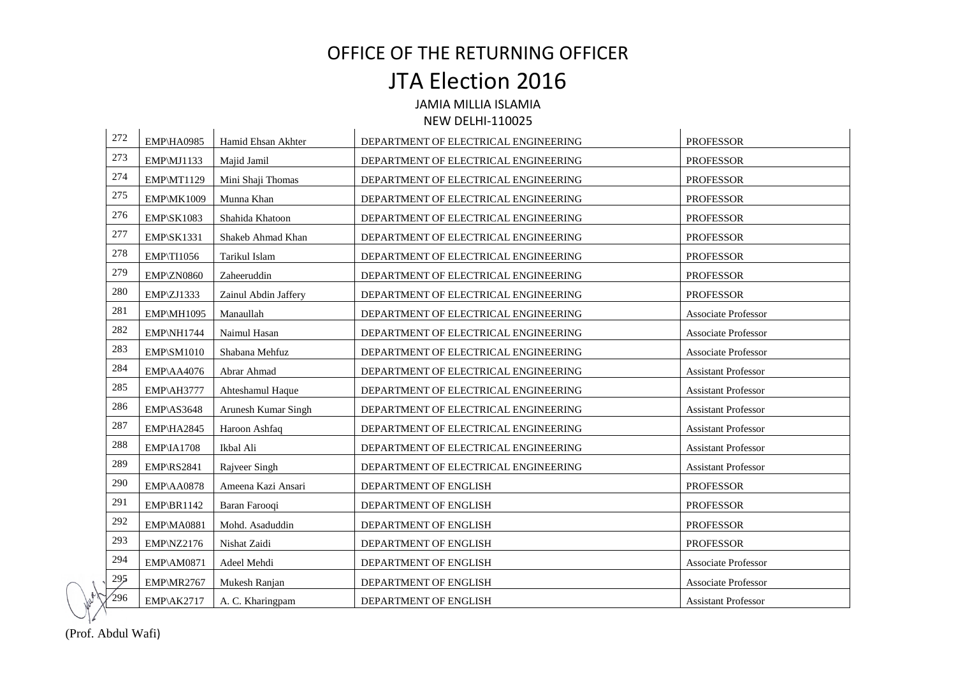# JTA Election 2016

JAMIA MILLIA ISLAMIA

| 272 | EMP\HA0985         | Hamid Ehsan Akhter   | DEPARTMENT OF ELECTRICAL ENGINEERING | <b>PROFESSOR</b>           |
|-----|--------------------|----------------------|--------------------------------------|----------------------------|
| 273 | EMP\MJ1133         | Majid Jamil          | DEPARTMENT OF ELECTRICAL ENGINEERING | <b>PROFESSOR</b>           |
| 274 | EMP\MT1129         | Mini Shaji Thomas    | DEPARTMENT OF ELECTRICAL ENGINEERING | <b>PROFESSOR</b>           |
| 275 | EMP\MK1009         | Munna Khan           | DEPARTMENT OF ELECTRICAL ENGINEERING | <b>PROFESSOR</b>           |
| 276 | <b>EMP</b> \SK1083 | Shahida Khatoon      | DEPARTMENT OF ELECTRICAL ENGINEERING | <b>PROFESSOR</b>           |
| 277 | EMP\SK1331         | Shakeb Ahmad Khan    | DEPARTMENT OF ELECTRICAL ENGINEERING | <b>PROFESSOR</b>           |
| 278 | EMP\TI1056         | Tarikul Islam        | DEPARTMENT OF ELECTRICAL ENGINEERING | <b>PROFESSOR</b>           |
| 279 | EMP\ZN0860         | Zaheeruddin          | DEPARTMENT OF ELECTRICAL ENGINEERING | <b>PROFESSOR</b>           |
| 280 | EMP\ZJ1333         | Zainul Abdin Jaffery | DEPARTMENT OF ELECTRICAL ENGINEERING | <b>PROFESSOR</b>           |
| 281 | EMP\MH1095         | Manaullah            | DEPARTMENT OF ELECTRICAL ENGINEERING | Associate Professor        |
| 282 | EMP\NH1744         | Naimul Hasan         | DEPARTMENT OF ELECTRICAL ENGINEERING | Associate Professor        |
| 283 | EMP\SM1010         | Shabana Mehfuz       | DEPARTMENT OF ELECTRICAL ENGINEERING | Associate Professor        |
| 284 | EMP\AA4076         | Abrar Ahmad          | DEPARTMENT OF ELECTRICAL ENGINEERING | <b>Assistant Professor</b> |
| 285 | EMP\AH3777         | Ahteshamul Haque     | DEPARTMENT OF ELECTRICAL ENGINEERING | <b>Assistant Professor</b> |
| 286 | EMP\AS3648         | Arunesh Kumar Singh  | DEPARTMENT OF ELECTRICAL ENGINEERING | <b>Assistant Professor</b> |
| 287 | EMP\HA2845         | Haroon Ashfaq        | DEPARTMENT OF ELECTRICAL ENGINEERING | <b>Assistant Professor</b> |
| 288 | EMP\IA1708         | Ikbal Ali            | DEPARTMENT OF ELECTRICAL ENGINEERING | <b>Assistant Professor</b> |
| 289 | EMP\RS2841         | Rajveer Singh        | DEPARTMENT OF ELECTRICAL ENGINEERING | <b>Assistant Professor</b> |
| 290 | EMP\AA0878         | Ameena Kazi Ansari   | DEPARTMENT OF ENGLISH                | <b>PROFESSOR</b>           |
| 291 | EMP\BR1142         | Baran Farooqi        | DEPARTMENT OF ENGLISH                | <b>PROFESSOR</b>           |
| 292 | EMP\MA0881         | Mohd. Asaduddin      | DEPARTMENT OF ENGLISH                | <b>PROFESSOR</b>           |
| 293 | EMP\NZ2176         | Nishat Zaidi         | DEPARTMENT OF ENGLISH                | <b>PROFESSOR</b>           |
| 294 | EMP\AM0871         | Adeel Mehdi          | DEPARTMENT OF ENGLISH                | Associate Professor        |
| 295 | EMP\MR2767         | Mukesh Ranjan        | DEPARTMENT OF ENGLISH                | Associate Professor        |
| 296 | EMP\AK2717         | A. C. Kharingpam     | DEPARTMENT OF ENGLISH                | <b>Assistant Professor</b> |
|     |                    |                      |                                      |                            |

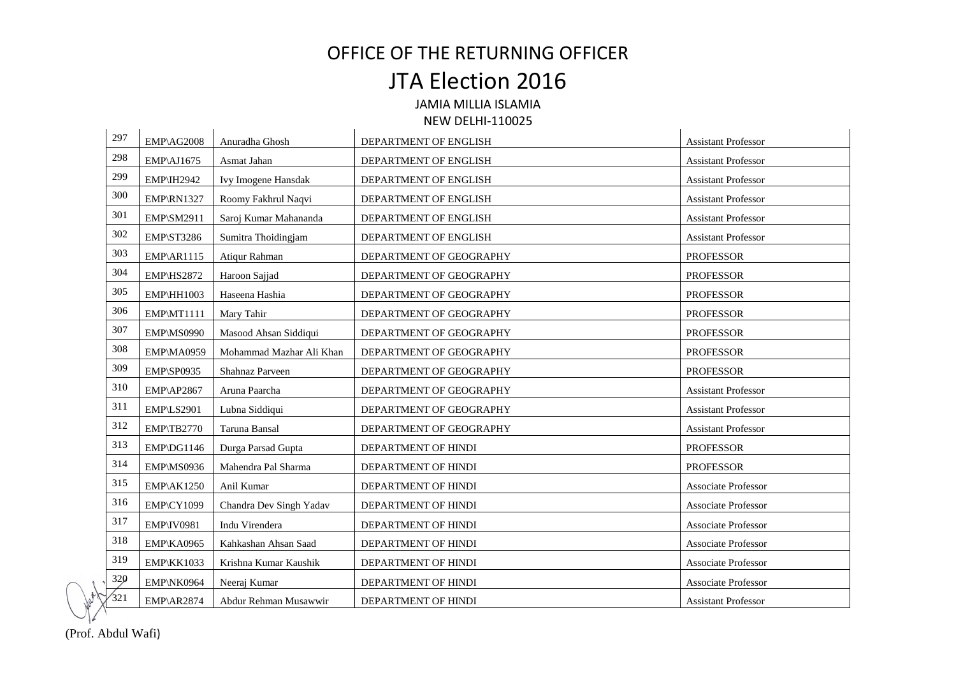# JTA Election 2016

JAMIA MILLIA ISLAMIA

| 297 | EMP\AG2008         | Anuradha Ghosh           | DEPARTMENT OF ENGLISH   | <b>Assistant Professor</b> |
|-----|--------------------|--------------------------|-------------------------|----------------------------|
| 298 | EMP\AJ1675         | Asmat Jahan              | DEPARTMENT OF ENGLISH   | <b>Assistant Professor</b> |
| 299 | EMP\IH2942         | Ivy Imogene Hansdak      | DEPARTMENT OF ENGLISH   | <b>Assistant Professor</b> |
| 300 | EMP\RN1327         | Roomy Fakhrul Naqvi      | DEPARTMENT OF ENGLISH   | <b>Assistant Professor</b> |
| 301 | EMP\SM2911         | Saroj Kumar Mahananda    | DEPARTMENT OF ENGLISH   | <b>Assistant Professor</b> |
| 302 | EMP\ST3286         | Sumitra Thoidingjam      | DEPARTMENT OF ENGLISH   | <b>Assistant Professor</b> |
| 303 | EMP\AR1115         | Atiqur Rahman            | DEPARTMENT OF GEOGRAPHY | <b>PROFESSOR</b>           |
| 304 | EMP\HS2872         | Haroon Sajjad            | DEPARTMENT OF GEOGRAPHY | <b>PROFESSOR</b>           |
| 305 | EMP\HH1003         | Haseena Hashia           | DEPARTMENT OF GEOGRAPHY | <b>PROFESSOR</b>           |
| 306 | EMP\MT1111         | Mary Tahir               | DEPARTMENT OF GEOGRAPHY | <b>PROFESSOR</b>           |
| 307 | EMP\MS0990         | Masood Ahsan Siddiqui    | DEPARTMENT OF GEOGRAPHY | <b>PROFESSOR</b>           |
| 308 | EMP\MA0959         | Mohammad Mazhar Ali Khan | DEPARTMENT OF GEOGRAPHY | <b>PROFESSOR</b>           |
| 309 | EMP\SP0935         | Shahnaz Parveen          | DEPARTMENT OF GEOGRAPHY | <b>PROFESSOR</b>           |
| 310 | EMP\AP2867         | Aruna Paarcha            | DEPARTMENT OF GEOGRAPHY | <b>Assistant Professor</b> |
| 311 | EMP\LS2901         | Lubna Siddiqui           | DEPARTMENT OF GEOGRAPHY | <b>Assistant Professor</b> |
| 312 | EMP\TB2770         | Taruna Bansal            | DEPARTMENT OF GEOGRAPHY | <b>Assistant Professor</b> |
| 313 | EMP\DG1146         | Durga Parsad Gupta       | DEPARTMENT OF HINDI     | <b>PROFESSOR</b>           |
| 314 | EMP\MS0936         | Mahendra Pal Sharma      | DEPARTMENT OF HINDI     | <b>PROFESSOR</b>           |
| 315 | EMP\AK1250         | Anil Kumar               | DEPARTMENT OF HINDI     | Associate Professor        |
| 316 | <b>EMP</b> \CY1099 | Chandra Dev Singh Yadav  | DEPARTMENT OF HINDI     | <b>Associate Professor</b> |
| 317 | EMP\IV0981         | Indu Virendera           | DEPARTMENT OF HINDI     | Associate Professor        |
| 318 | EMP\KA0965         | Kahkashan Ahsan Saad     | DEPARTMENT OF HINDI     | Associate Professor        |
| 319 | EMP\KK1033         | Krishna Kumar Kaushik    | DEPARTMENT OF HINDI     | Associate Professor        |
| 320 | EMP\NK0964         | Neeraj Kumar             | DEPARTMENT OF HINDI     | Associate Professor        |
| 321 | EMP\AR2874         | Abdur Rehman Musawwir    | DEPARTMENT OF HINDI     | <b>Assistant Professor</b> |
|     |                    |                          |                         |                            |

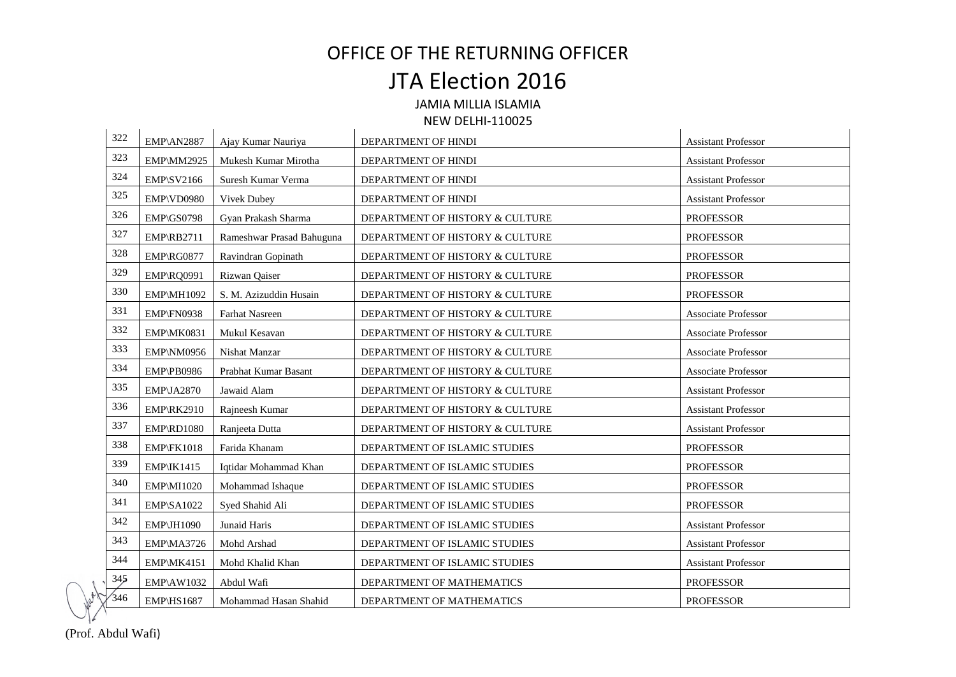# JTA Election 2016

JAMIA MILLIA ISLAMIA

| 322 | EMP\AN2887        | Ajay Kumar Nauriya        | DEPARTMENT OF HINDI             | <b>Assistant Professor</b> |
|-----|-------------------|---------------------------|---------------------------------|----------------------------|
| 323 | EMP\MM2925        | Mukesh Kumar Mirotha      | DEPARTMENT OF HINDI             | <b>Assistant Professor</b> |
| 324 | <b>EMP\SV2166</b> | Suresh Kumar Verma        | DEPARTMENT OF HINDI             | <b>Assistant Professor</b> |
| 325 | EMP\VD0980        | <b>Vivek Dubey</b>        | DEPARTMENT OF HINDI             | <b>Assistant Professor</b> |
| 326 | EMP\GS0798        | Gyan Prakash Sharma       | DEPARTMENT OF HISTORY & CULTURE | <b>PROFESSOR</b>           |
| 327 | EMP\RB2711        | Rameshwar Prasad Bahuguna | DEPARTMENT OF HISTORY & CULTURE | <b>PROFESSOR</b>           |
| 328 | EMP\RG0877        | Ravindran Gopinath        | DEPARTMENT OF HISTORY & CULTURE | <b>PROFESSOR</b>           |
| 329 | EMP\RQ0991        | Rizwan Qaiser             | DEPARTMENT OF HISTORY & CULTURE | <b>PROFESSOR</b>           |
| 330 | EMP\MH1092        | S. M. Azizuddin Husain    | DEPARTMENT OF HISTORY & CULTURE | <b>PROFESSOR</b>           |
| 331 | EMP\FN0938        | <b>Farhat Nasreen</b>     | DEPARTMENT OF HISTORY & CULTURE | <b>Associate Professor</b> |
| 332 | EMP\MK0831        | Mukul Kesavan             | DEPARTMENT OF HISTORY & CULTURE | Associate Professor        |
| 333 | EMP\NM0956        | Nishat Manzar             | DEPARTMENT OF HISTORY & CULTURE | Associate Professor        |
| 334 | EMP\PB0986        | Prabhat Kumar Basant      | DEPARTMENT OF HISTORY & CULTURE | Associate Professor        |
| 335 | EMP\JA2870        | Jawaid Alam               | DEPARTMENT OF HISTORY & CULTURE | <b>Assistant Professor</b> |
| 336 | EMP\RK2910        | Rajneesh Kumar            | DEPARTMENT OF HISTORY & CULTURE | <b>Assistant Professor</b> |
| 337 | EMP\RD1080        | Ranjeeta Dutta            | DEPARTMENT OF HISTORY & CULTURE | <b>Assistant Professor</b> |
| 338 | EMP\FK1018        | Farida Khanam             | DEPARTMENT OF ISLAMIC STUDIES   | <b>PROFESSOR</b>           |
| 339 | EMP\IK1415        | Iqtidar Mohammad Khan     | DEPARTMENT OF ISLAMIC STUDIES   | <b>PROFESSOR</b>           |
| 340 | EMP\MI1020        | Mohammad Ishaque          | DEPARTMENT OF ISLAMIC STUDIES   | <b>PROFESSOR</b>           |
| 341 | EMP\SA1022        | Syed Shahid Ali           | DEPARTMENT OF ISLAMIC STUDIES   | <b>PROFESSOR</b>           |
| 342 | EMP\JH1090        | Junaid Haris              | DEPARTMENT OF ISLAMIC STUDIES   | <b>Assistant Professor</b> |
| 343 | EMP\MA3726        | Mohd Arshad               | DEPARTMENT OF ISLAMIC STUDIES   | <b>Assistant Professor</b> |
| 344 | EMP\MK4151        | Mohd Khalid Khan          | DEPARTMENT OF ISLAMIC STUDIES   | <b>Assistant Professor</b> |
| 345 | EMP\AW1032        | Abdul Wafi                | DEPARTMENT OF MATHEMATICS       | <b>PROFESSOR</b>           |
| 346 | EMP\HS1687        | Mohammad Hasan Shahid     | DEPARTMENT OF MATHEMATICS       | <b>PROFESSOR</b>           |
|     |                   |                           |                                 |                            |

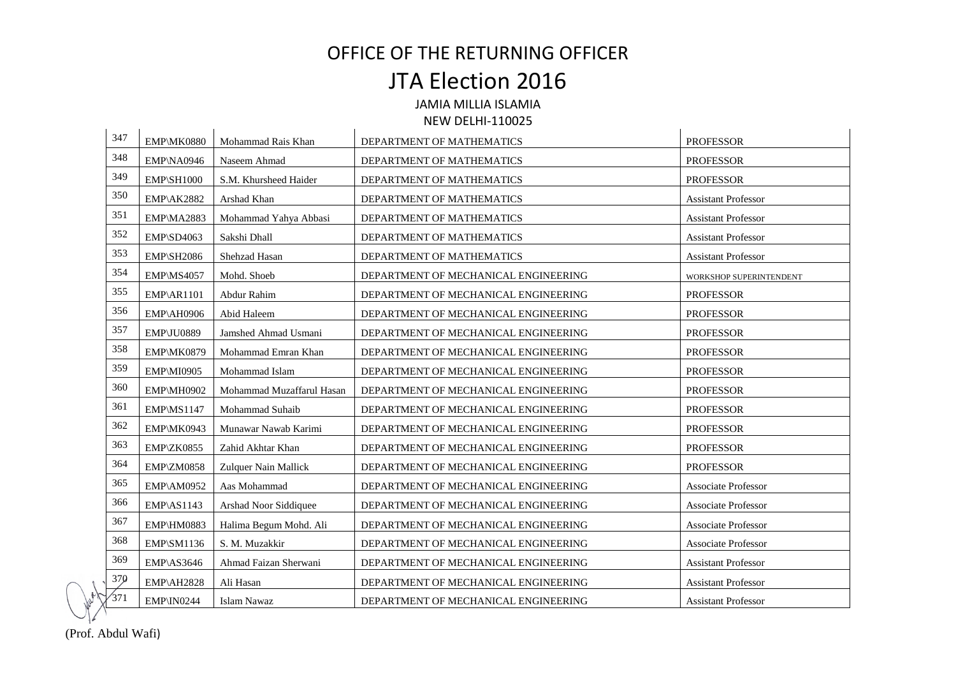# JTA Election 2016

JAMIA MILLIA ISLAMIA

NEW DELHI-110025

| EMP\MK0880 | Mohammad Rais Khan        | DEPARTMENT OF MATHEMATICS            | <b>PROFESSOR</b>           |
|------------|---------------------------|--------------------------------------|----------------------------|
| EMP\NA0946 | Naseem Ahmad              | DEPARTMENT OF MATHEMATICS            | <b>PROFESSOR</b>           |
| EMP\SH1000 | S.M. Khursheed Haider     | DEPARTMENT OF MATHEMATICS            | <b>PROFESSOR</b>           |
| EMP\AK2882 | Arshad Khan               | DEPARTMENT OF MATHEMATICS            | <b>Assistant Professor</b> |
| EMP\MA2883 | Mohammad Yahya Abbasi     | DEPARTMENT OF MATHEMATICS            | <b>Assistant Professor</b> |
| EMP\SD4063 | Sakshi Dhall              | DEPARTMENT OF MATHEMATICS            | <b>Assistant Professor</b> |
| EMP\SH2086 | Shehzad Hasan             | DEPARTMENT OF MATHEMATICS            | <b>Assistant Professor</b> |
| EMP\MS4057 | Mohd. Shoeb               | DEPARTMENT OF MECHANICAL ENGINEERING | WORKSHOP SUPERINTENDENT    |
| EMP\AR1101 | Abdur Rahim               | DEPARTMENT OF MECHANICAL ENGINEERING | <b>PROFESSOR</b>           |
| EMP\AH0906 | Abid Haleem               | DEPARTMENT OF MECHANICAL ENGINEERING | <b>PROFESSOR</b>           |
| EMP\JU0889 | Jamshed Ahmad Usmani      | DEPARTMENT OF MECHANICAL ENGINEERING | <b>PROFESSOR</b>           |
| EMP\MK0879 | Mohammad Emran Khan       | DEPARTMENT OF MECHANICAL ENGINEERING | <b>PROFESSOR</b>           |
| EMP\MI0905 | Mohammad Islam            | DEPARTMENT OF MECHANICAL ENGINEERING | <b>PROFESSOR</b>           |
| EMP\MH0902 | Mohammad Muzaffarul Hasan | DEPARTMENT OF MECHANICAL ENGINEERING | <b>PROFESSOR</b>           |
| EMP\MS1147 | Mohammad Suhaib           | DEPARTMENT OF MECHANICAL ENGINEERING | <b>PROFESSOR</b>           |
| EMP\MK0943 | Munawar Nawab Karimi      | DEPARTMENT OF MECHANICAL ENGINEERING | <b>PROFESSOR</b>           |
| EMP\ZK0855 | Zahid Akhtar Khan         | DEPARTMENT OF MECHANICAL ENGINEERING | <b>PROFESSOR</b>           |
| EMP\ZM0858 | Zulquer Nain Mallick      | DEPARTMENT OF MECHANICAL ENGINEERING | <b>PROFESSOR</b>           |
| EMP\AM0952 | Aas Mohammad              | DEPARTMENT OF MECHANICAL ENGINEERING | Associate Professor        |
| EMP\AS1143 | Arshad Noor Siddiquee     | DEPARTMENT OF MECHANICAL ENGINEERING | <b>Associate Professor</b> |
| EMP\HM0883 | Halima Begum Mohd. Ali    | DEPARTMENT OF MECHANICAL ENGINEERING | Associate Professor        |
| EMP\SM1136 | S. M. Muzakkir            | DEPARTMENT OF MECHANICAL ENGINEERING | Associate Professor        |
| EMP\AS3646 | Ahmad Faizan Sherwani     | DEPARTMENT OF MECHANICAL ENGINEERING | <b>Assistant Professor</b> |
| EMP\AH2828 | Ali Hasan                 | DEPARTMENT OF MECHANICAL ENGINEERING | <b>Assistant Professor</b> |
| EMP\IN0244 | Islam Nawaz               | DEPARTMENT OF MECHANICAL ENGINEERING | <b>Assistant Professor</b> |
|            |                           |                                      |                            |

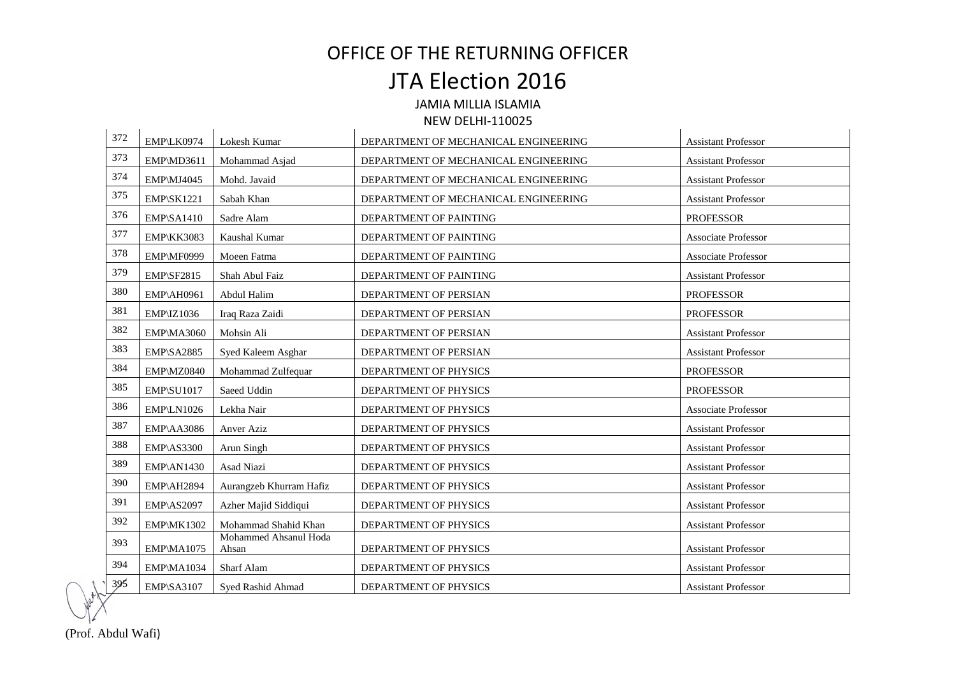# JTA Election 2016

JAMIA MILLIA ISLAMIA

| 372 | EMP\LK0974        | Lokesh Kumar                   | DEPARTMENT OF MECHANICAL ENGINEERING | <b>Assistant Professor</b> |
|-----|-------------------|--------------------------------|--------------------------------------|----------------------------|
| 373 | EMP\MD3611        | Mohammad Asjad                 | DEPARTMENT OF MECHANICAL ENGINEERING | <b>Assistant Professor</b> |
| 374 | EMP\MJ4045        | Mohd. Javaid                   | DEPARTMENT OF MECHANICAL ENGINEERING | <b>Assistant Professor</b> |
| 375 | EMP\SK1221        | Sabah Khan                     | DEPARTMENT OF MECHANICAL ENGINEERING | <b>Assistant Professor</b> |
| 376 | EMP\SA1410        | Sadre Alam                     | DEPARTMENT OF PAINTING               | <b>PROFESSOR</b>           |
| 377 | EMP\KK3083        | Kaushal Kumar                  | DEPARTMENT OF PAINTING               | Associate Professor        |
| 378 | EMP\MF0999        | Moeen Fatma                    | DEPARTMENT OF PAINTING               | <b>Associate Professor</b> |
| 379 | EMP\SF2815        | Shah Abul Faiz                 | DEPARTMENT OF PAINTING               | <b>Assistant Professor</b> |
| 380 | EMP\AH0961        | Abdul Halim                    | DEPARTMENT OF PERSIAN                | <b>PROFESSOR</b>           |
| 381 | EMP\IZ1036        | Iraq Raza Zaidi                | DEPARTMENT OF PERSIAN                | <b>PROFESSOR</b>           |
| 382 | EMP\MA3060        | Mohsin Ali                     | DEPARTMENT OF PERSIAN                | <b>Assistant Professor</b> |
| 383 | EMP\SA2885        | Syed Kaleem Asghar             | DEPARTMENT OF PERSIAN                | <b>Assistant Professor</b> |
| 384 | EMP\MZ0840        | Mohammad Zulfequar             | DEPARTMENT OF PHYSICS                | <b>PROFESSOR</b>           |
| 385 | EMP\SU1017        | Saeed Uddin                    | DEPARTMENT OF PHYSICS                | <b>PROFESSOR</b>           |
| 386 | EMP\LN1026        | Lekha Nair                     | DEPARTMENT OF PHYSICS                | <b>Associate Professor</b> |
| 387 | EMP\AA3086        | Anver Aziz                     | DEPARTMENT OF PHYSICS                | <b>Assistant Professor</b> |
| 388 | EMP\AS3300        | Arun Singh                     | DEPARTMENT OF PHYSICS                | <b>Assistant Professor</b> |
| 389 | EMP\AN1430        | Asad Niazi                     | DEPARTMENT OF PHYSICS                | <b>Assistant Professor</b> |
| 390 | EMP\AH2894        | Aurangzeb Khurram Hafiz        | DEPARTMENT OF PHYSICS                | <b>Assistant Professor</b> |
| 391 | EMP\AS2097        | Azher Majid Siddiqui           | DEPARTMENT OF PHYSICS                | <b>Assistant Professor</b> |
| 392 | <b>EMP\MK1302</b> | Mohammad Shahid Khan           | DEPARTMENT OF PHYSICS                | <b>Assistant Professor</b> |
| 393 | EMP\MA1075        | Mohammed Ahsanul Hoda<br>Ahsan | DEPARTMENT OF PHYSICS                | <b>Assistant Professor</b> |
| 394 | EMP\MA1034        | Sharf Alam                     | DEPARTMENT OF PHYSICS                | <b>Assistant Professor</b> |
| 395 | EMP\SA3107        | Syed Rashid Ahmad              | DEPARTMENT OF PHYSICS                | <b>Assistant Professor</b> |
|     |                   |                                |                                      |                            |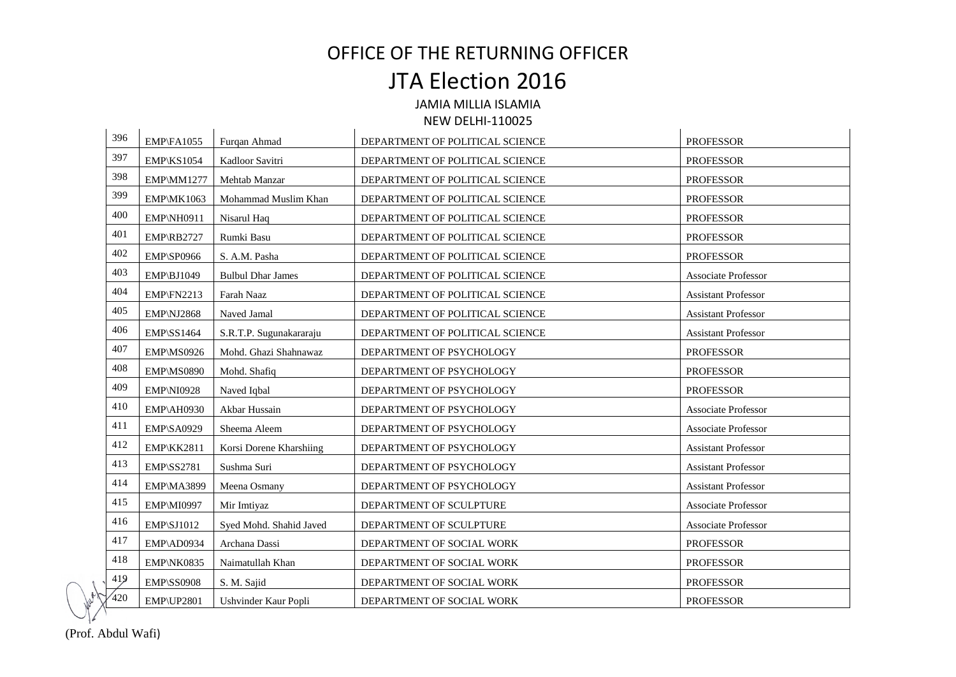# JTA Election 2016

JAMIA MILLIA ISLAMIA

| 396 | EMP\FA1055        | Furqan Ahmad             | DEPARTMENT OF POLITICAL SCIENCE | <b>PROFESSOR</b>           |
|-----|-------------------|--------------------------|---------------------------------|----------------------------|
| 397 | EMP\KS1054        | Kadloor Savitri          | DEPARTMENT OF POLITICAL SCIENCE | <b>PROFESSOR</b>           |
| 398 | EMP\MM1277        | Mehtab Manzar            | DEPARTMENT OF POLITICAL SCIENCE | <b>PROFESSOR</b>           |
| 399 | EMP\MK1063        | Mohammad Muslim Khan     | DEPARTMENT OF POLITICAL SCIENCE | <b>PROFESSOR</b>           |
| 400 | EMP\NH0911        | Nisarul Haq              | DEPARTMENT OF POLITICAL SCIENCE | <b>PROFESSOR</b>           |
| 401 | EMP\RB2727        | Rumki Basu               | DEPARTMENT OF POLITICAL SCIENCE | <b>PROFESSOR</b>           |
| 402 | EMP\SP0966        | S. A.M. Pasha            | DEPARTMENT OF POLITICAL SCIENCE | <b>PROFESSOR</b>           |
| 403 | EMP\BJ1049        | <b>Bulbul Dhar James</b> | DEPARTMENT OF POLITICAL SCIENCE | Associate Professor        |
| 404 | EMP\FN2213        | Farah Naaz               | DEPARTMENT OF POLITICAL SCIENCE | <b>Assistant Professor</b> |
| 405 | EMP\NJ2868        | Naved Jamal              | DEPARTMENT OF POLITICAL SCIENCE | <b>Assistant Professor</b> |
| 406 | EMP\SS1464        | S.R.T.P. Sugunakararaju  | DEPARTMENT OF POLITICAL SCIENCE | <b>Assistant Professor</b> |
| 407 | EMP\MS0926        | Mohd. Ghazi Shahnawaz    | DEPARTMENT OF PSYCHOLOGY        | <b>PROFESSOR</b>           |
| 408 | EMP\MS0890        | Mohd. Shafiq             | DEPARTMENT OF PSYCHOLOGY        | <b>PROFESSOR</b>           |
| 409 | <b>EMP\NI0928</b> | Naved Iqbal              | DEPARTMENT OF PSYCHOLOGY        | <b>PROFESSOR</b>           |
| 410 | EMP\AH0930        | Akbar Hussain            | DEPARTMENT OF PSYCHOLOGY        | Associate Professor        |
| 411 | EMP\SA0929        | Sheema Aleem             | DEPARTMENT OF PSYCHOLOGY        | Associate Professor        |
| 412 | EMP\KK2811        | Korsi Dorene Kharshiing  | DEPARTMENT OF PSYCHOLOGY        | <b>Assistant Professor</b> |
| 413 | EMP\SS2781        | Sushma Suri              | DEPARTMENT OF PSYCHOLOGY        | <b>Assistant Professor</b> |
| 414 | EMP\MA3899        | Meena Osmany             | DEPARTMENT OF PSYCHOLOGY        | <b>Assistant Professor</b> |
| 415 | EMP\MI0997        | Mir Imtiyaz              | DEPARTMENT OF SCULPTURE         | Associate Professor        |
| 416 | EMP\SJ1012        | Syed Mohd. Shahid Javed  | DEPARTMENT OF SCULPTURE         | Associate Professor        |
| 417 | EMP\AD0934        | Archana Dassi            | DEPARTMENT OF SOCIAL WORK       | <b>PROFESSOR</b>           |
| 418 | EMP\NK0835        | Naimatullah Khan         | DEPARTMENT OF SOCIAL WORK       | <b>PROFESSOR</b>           |
| 419 | <b>EMP\SS0908</b> | S. M. Sajid              | DEPARTMENT OF SOCIAL WORK       | <b>PROFESSOR</b>           |
| 420 | EMP\UP2801        | Ushvinder Kaur Popli     | DEPARTMENT OF SOCIAL WORK       | <b>PROFESSOR</b>           |
|     |                   |                          |                                 |                            |

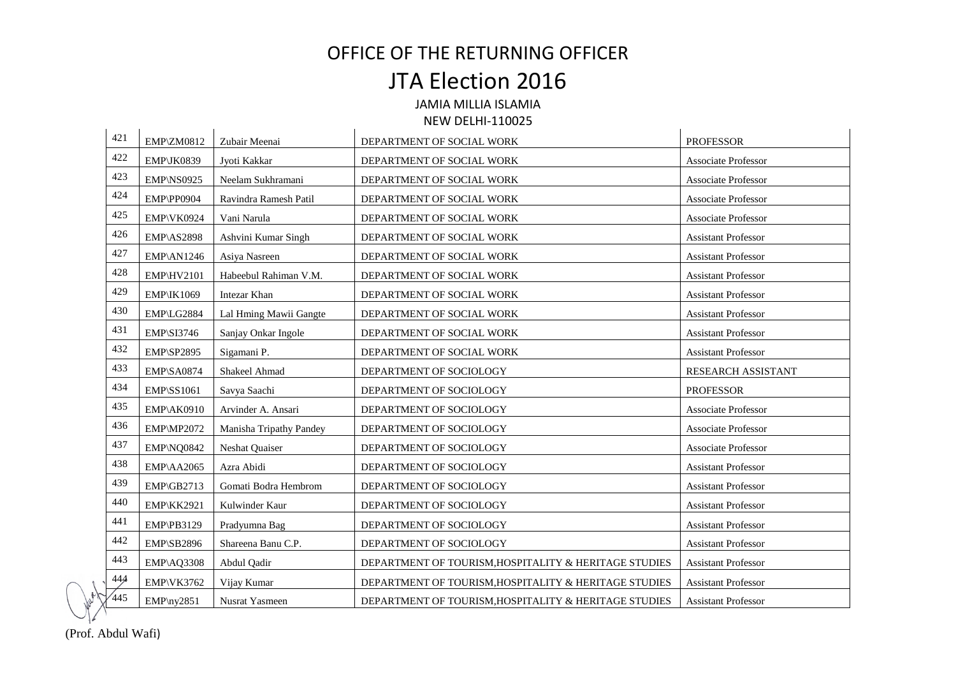# JTA Election 2016

JAMIA MILLIA ISLAMIA

| 421 | EMP\ZM0812         | Zubair Meenai           | DEPARTMENT OF SOCIAL WORK                             | <b>PROFESSOR</b>           |
|-----|--------------------|-------------------------|-------------------------------------------------------|----------------------------|
| 422 | EMP\JK0839         | Jyoti Kakkar            | DEPARTMENT OF SOCIAL WORK                             | Associate Professor        |
| 423 | EMP\NS0925         | Neelam Sukhramani       | DEPARTMENT OF SOCIAL WORK                             | <b>Associate Professor</b> |
| 424 | EMP\PP0904         | Ravindra Ramesh Patil   | DEPARTMENT OF SOCIAL WORK                             | <b>Associate Professor</b> |
| 425 | EMP\VK0924         | Vani Narula             | DEPARTMENT OF SOCIAL WORK                             | <b>Associate Professor</b> |
| 426 | EMP\AS2898         | Ashvini Kumar Singh     | DEPARTMENT OF SOCIAL WORK                             | <b>Assistant Professor</b> |
| 427 | EMP\AN1246         | Asiya Nasreen           | DEPARTMENT OF SOCIAL WORK                             | <b>Assistant Professor</b> |
| 428 | EMP\HV2101         | Habeebul Rahiman V.M.   | DEPARTMENT OF SOCIAL WORK                             | <b>Assistant Professor</b> |
| 429 | EMP\IK1069         | Intezar Khan            | DEPARTMENT OF SOCIAL WORK                             | <b>Assistant Professor</b> |
| 430 | EMP\LG2884         | Lal Hming Mawii Gangte  | DEPARTMENT OF SOCIAL WORK                             | <b>Assistant Professor</b> |
| 431 | <b>EMP\SI3746</b>  | Sanjay Onkar Ingole     | DEPARTMENT OF SOCIAL WORK                             | <b>Assistant Professor</b> |
| 432 | EMP\SP2895         | Sigamani P.             | DEPARTMENT OF SOCIAL WORK                             | <b>Assistant Professor</b> |
| 433 | EMP\SA0874         | Shakeel Ahmad           | DEPARTMENT OF SOCIOLOGY                               | RESEARCH ASSISTANT         |
| 434 | <b>EMP</b> \SS1061 | Savya Saachi            | DEPARTMENT OF SOCIOLOGY                               | <b>PROFESSOR</b>           |
| 435 | EMP\AK0910         | Arvinder A. Ansari      | DEPARTMENT OF SOCIOLOGY                               | <b>Associate Professor</b> |
| 436 | EMP\MP2072         | Manisha Tripathy Pandey | DEPARTMENT OF SOCIOLOGY                               | Associate Professor        |
| 437 | EMP\NQ0842         | Neshat Quaiser          | DEPARTMENT OF SOCIOLOGY                               | Associate Professor        |
| 438 | EMP\AA2065         | Azra Abidi              | DEPARTMENT OF SOCIOLOGY                               | <b>Assistant Professor</b> |
| 439 | EMP\GB2713         | Gomati Bodra Hembrom    | DEPARTMENT OF SOCIOLOGY                               | <b>Assistant Professor</b> |
| 440 | EMP\KK2921         | Kulwinder Kaur          | DEPARTMENT OF SOCIOLOGY                               | <b>Assistant Professor</b> |
| 441 | EMP\PB3129         | Pradyumna Bag           | DEPARTMENT OF SOCIOLOGY                               | <b>Assistant Professor</b> |
| 442 | EMP\SB2896         | Shareena Banu C.P.      | DEPARTMENT OF SOCIOLOGY                               | <b>Assistant Professor</b> |
| 443 | EMP\AQ3308         | Abdul Qadir             | DEPARTMENT OF TOURISM, HOSPITALITY & HERITAGE STUDIES | <b>Assistant Professor</b> |
| 444 | EMP\VK3762         | Vijay Kumar             | DEPARTMENT OF TOURISM, HOSPITALITY & HERITAGE STUDIES | <b>Assistant Professor</b> |
| 445 | EMP\ny2851         | Nusrat Yasmeen          | DEPARTMENT OF TOURISM, HOSPITALITY & HERITAGE STUDIES | <b>Assistant Professor</b> |
|     |                    |                         |                                                       |                            |

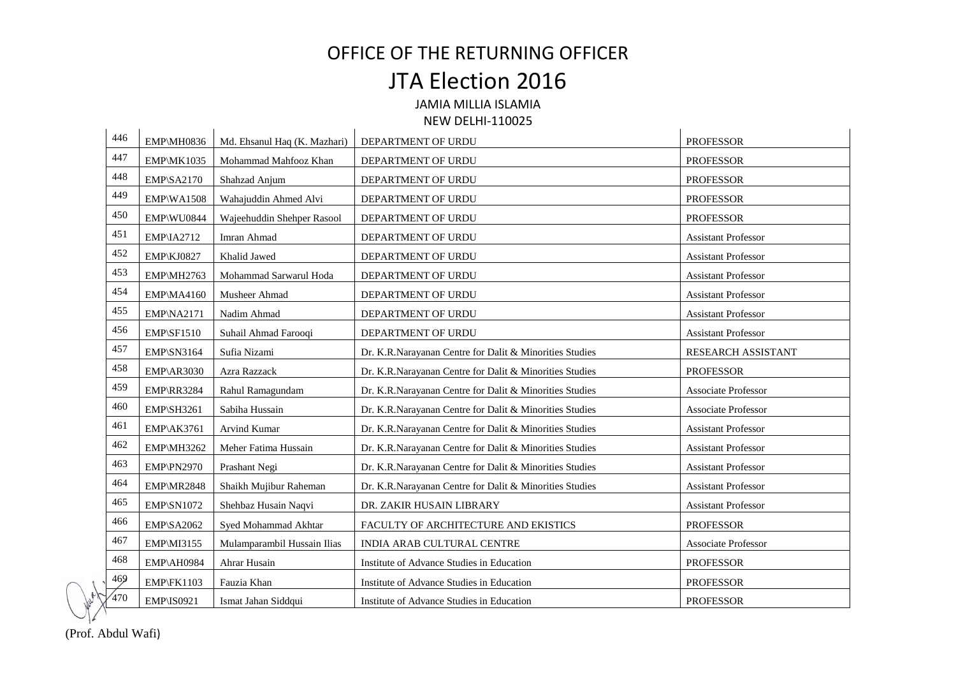# JTA Election 2016

JAMIA MILLIA ISLAMIA

| 446 | EMP\MH0836 | Md. Ehsanul Haq (K. Mazhari) | DEPARTMENT OF URDU                                      | <b>PROFESSOR</b>           |
|-----|------------|------------------------------|---------------------------------------------------------|----------------------------|
| 447 | EMP\MK1035 | Mohammad Mahfooz Khan        | DEPARTMENT OF URDU                                      | <b>PROFESSOR</b>           |
| 448 | EMP\SA2170 | Shahzad Anjum                | DEPARTMENT OF URDU                                      | <b>PROFESSOR</b>           |
| 449 | EMP\WA1508 | Wahajuddin Ahmed Alvi        | DEPARTMENT OF URDU                                      | <b>PROFESSOR</b>           |
| 450 | EMP\WU0844 | Wajeehuddin Shehper Rasool   | DEPARTMENT OF URDU                                      | <b>PROFESSOR</b>           |
| 451 | EMP\IA2712 | Imran Ahmad                  | DEPARTMENT OF URDU                                      | <b>Assistant Professor</b> |
| 452 | EMP\KJ0827 | Khalid Jawed                 | DEPARTMENT OF URDU                                      | <b>Assistant Professor</b> |
| 453 | EMP\MH2763 | Mohammad Sarwarul Hoda       | DEPARTMENT OF URDU                                      | <b>Assistant Professor</b> |
| 454 | EMP\MA4160 | Musheer Ahmad                | DEPARTMENT OF URDU                                      | <b>Assistant Professor</b> |
| 455 | EMP\NA2171 | Nadim Ahmad                  | DEPARTMENT OF URDU                                      | <b>Assistant Professor</b> |
| 456 | EMP\SF1510 | Suhail Ahmad Farooqi         | DEPARTMENT OF URDU                                      | <b>Assistant Professor</b> |
| 457 | EMP\SN3164 | Sufia Nizami                 | Dr. K.R.Narayanan Centre for Dalit & Minorities Studies | <b>RESEARCH ASSISTANT</b>  |
| 458 | EMP\AR3030 | Azra Razzack                 | Dr. K.R.Narayanan Centre for Dalit & Minorities Studies | <b>PROFESSOR</b>           |
| 459 | EMP\RR3284 | Rahul Ramagundam             | Dr. K.R.Narayanan Centre for Dalit & Minorities Studies | <b>Associate Professor</b> |
| 460 | EMP\SH3261 | Sabiha Hussain               | Dr. K.R.Narayanan Centre for Dalit & Minorities Studies | Associate Professor        |
| 461 | EMP\AK3761 | Arvind Kumar                 | Dr. K.R.Narayanan Centre for Dalit & Minorities Studies | <b>Assistant Professor</b> |
| 462 | EMP\MH3262 | Meher Fatima Hussain         | Dr. K.R.Narayanan Centre for Dalit & Minorities Studies | <b>Assistant Professor</b> |
| 463 | EMP\PN2970 | Prashant Negi                | Dr. K.R.Narayanan Centre for Dalit & Minorities Studies | <b>Assistant Professor</b> |
| 464 | EMP\MR2848 | Shaikh Mujibur Raheman       | Dr. K.R.Narayanan Centre for Dalit & Minorities Studies | <b>Assistant Professor</b> |
| 465 | EMP\SN1072 | Shehbaz Husain Naqvi         | DR. ZAKIR HUSAIN LIBRARY                                | <b>Assistant Professor</b> |
| 466 | EMP\SA2062 | Syed Mohammad Akhtar         | FACULTY OF ARCHITECTURE AND EKISTICS                    | <b>PROFESSOR</b>           |
| 467 | EMP\MI3155 | Mulamparambil Hussain Ilias  | INDIA ARAB CULTURAL CENTRE                              | Associate Professor        |
| 468 | EMP\AH0984 | Ahrar Husain                 | Institute of Advance Studies in Education               | <b>PROFESSOR</b>           |
| 469 | EMP\FK1103 | Fauzia Khan                  | Institute of Advance Studies in Education               | <b>PROFESSOR</b>           |
| 470 | EMP\IS0921 | Ismat Jahan Siddqui          | Institute of Advance Studies in Education               | <b>PROFESSOR</b>           |
|     |            |                              |                                                         |                            |

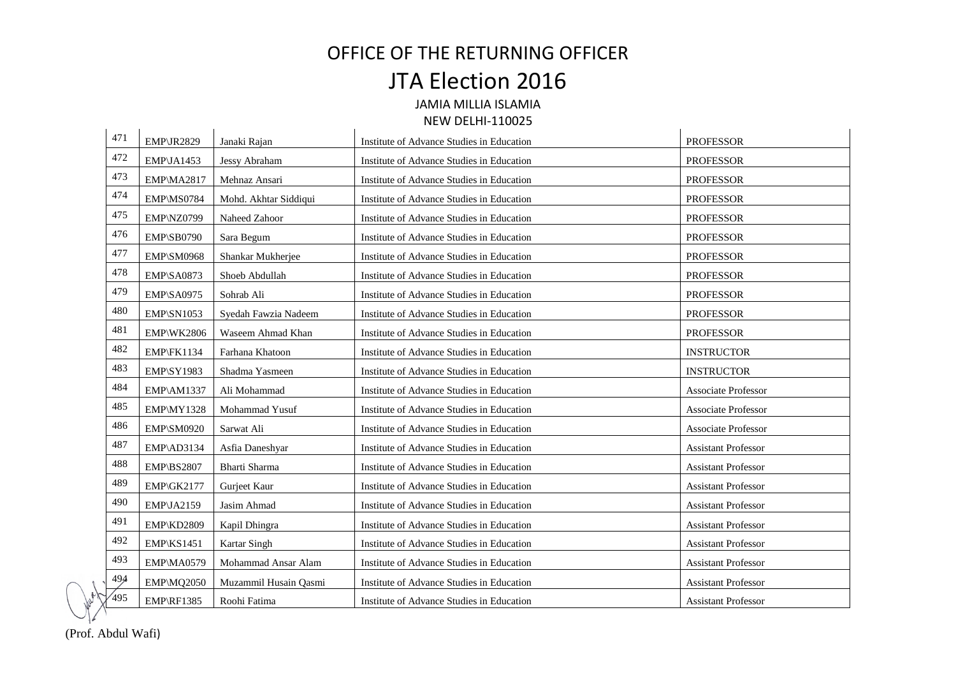## JTA Election 2016

JAMIA MILLIA ISLAMIA

| 471 | EMP\JR2829        | Janaki Rajan          | Institute of Advance Studies in Education | <b>PROFESSOR</b>           |
|-----|-------------------|-----------------------|-------------------------------------------|----------------------------|
| 472 | EMP\JA1453        | Jessy Abraham         | Institute of Advance Studies in Education | <b>PROFESSOR</b>           |
| 473 | EMP\MA2817        | Mehnaz Ansari         | Institute of Advance Studies in Education | <b>PROFESSOR</b>           |
| 474 | EMP\MS0784        | Mohd. Akhtar Siddiqui | Institute of Advance Studies in Education | <b>PROFESSOR</b>           |
| 475 | EMP\NZ0799        | Naheed Zahoor         | Institute of Advance Studies in Education | <b>PROFESSOR</b>           |
| 476 | EMP\SB0790        | Sara Begum            | Institute of Advance Studies in Education | <b>PROFESSOR</b>           |
| 477 | EMP\SM0968        | Shankar Mukherjee     | Institute of Advance Studies in Education | <b>PROFESSOR</b>           |
| 478 | EMP\SA0873        | Shoeb Abdullah        | Institute of Advance Studies in Education | <b>PROFESSOR</b>           |
| 479 | EMP\SA0975        | Sohrab Ali            | Institute of Advance Studies in Education | <b>PROFESSOR</b>           |
| 480 | EMP\SN1053        | Syedah Fawzia Nadeem  | Institute of Advance Studies in Education | <b>PROFESSOR</b>           |
| 481 | <b>EMP\WK2806</b> | Waseem Ahmad Khan     | Institute of Advance Studies in Education | <b>PROFESSOR</b>           |
| 482 | EMP\FK1134        | Farhana Khatoon       | Institute of Advance Studies in Education | <b>INSTRUCTOR</b>          |
| 483 | EMP\SY1983        | Shadma Yasmeen        | Institute of Advance Studies in Education | <b>INSTRUCTOR</b>          |
| 484 | EMP\AM1337        | Ali Mohammad          | Institute of Advance Studies in Education | <b>Associate Professor</b> |
| 485 | EMP\MY1328        | Mohammad Yusuf        | Institute of Advance Studies in Education | Associate Professor        |
| 486 | EMP\SM0920        | Sarwat Ali            | Institute of Advance Studies in Education | Associate Professor        |
| 487 | EMP\AD3134        | Asfia Daneshyar       | Institute of Advance Studies in Education | <b>Assistant Professor</b> |
| 488 | EMP\BS2807        | Bharti Sharma         | Institute of Advance Studies in Education | <b>Assistant Professor</b> |
| 489 | EMP\GK2177        | Gurjeet Kaur          | Institute of Advance Studies in Education | <b>Assistant Professor</b> |
| 490 | EMP\JA2159        | Jasim Ahmad           | Institute of Advance Studies in Education | Assistant Professor        |
| 491 | EMP\KD2809        | Kapil Dhingra         | Institute of Advance Studies in Education | <b>Assistant Professor</b> |
| 492 | EMP\KS1451        | Kartar Singh          | Institute of Advance Studies in Education | <b>Assistant Professor</b> |
| 493 | EMP\MA0579        | Mohammad Ansar Alam   | Institute of Advance Studies in Education | <b>Assistant Professor</b> |
| 494 | EMP\MQ2050        | Muzammil Husain Qasmi | Institute of Advance Studies in Education | <b>Assistant Professor</b> |
| 495 | EMP\RF1385        | Roohi Fatima          | Institute of Advance Studies in Education | <b>Assistant Professor</b> |
|     |                   |                       |                                           |                            |

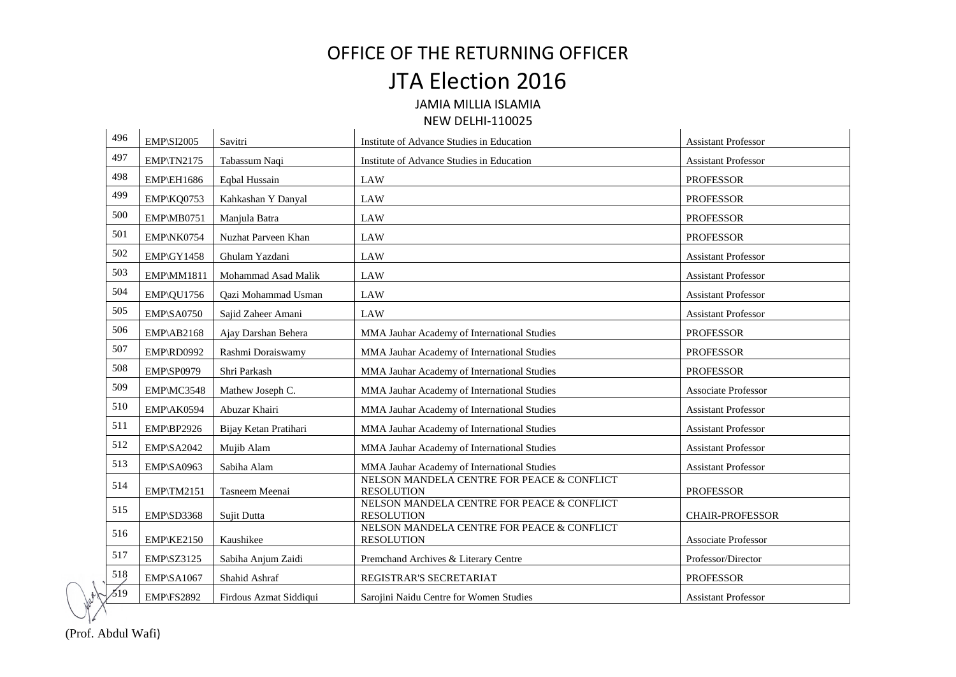## JTA Election 2016

JAMIA MILLIA ISLAMIA

| <b>EMP\SI2005</b> | Savitri                    | Institute of Advance Studies in Education                       | <b>Assistant Professor</b>                                                                                    |
|-------------------|----------------------------|-----------------------------------------------------------------|---------------------------------------------------------------------------------------------------------------|
| EMP\TN2175        | Tabassum Naqi              | Institute of Advance Studies in Education                       | <b>Assistant Professor</b>                                                                                    |
| EMP\EH1686        | Eqbal Hussain              | <b>LAW</b>                                                      | <b>PROFESSOR</b>                                                                                              |
| EMP\KQ0753        | Kahkashan Y Danyal         | <b>LAW</b>                                                      | <b>PROFESSOR</b>                                                                                              |
| EMP\MB0751        | Manjula Batra              | <b>LAW</b>                                                      | <b>PROFESSOR</b>                                                                                              |
| EMP\NK0754        | Nuzhat Parveen Khan        | <b>LAW</b>                                                      | <b>PROFESSOR</b>                                                                                              |
| EMP\GY1458        | Ghulam Yazdani             | <b>LAW</b>                                                      | <b>Assistant Professor</b>                                                                                    |
| EMP\MM1811        | Mohammad Asad Malik        | <b>LAW</b>                                                      | <b>Assistant Professor</b>                                                                                    |
| EMP\QU1756        | <b>Oazi Mohammad Usman</b> | LAW                                                             | <b>Assistant Professor</b>                                                                                    |
| EMP\SA0750        | Sajid Zaheer Amani         | <b>LAW</b>                                                      | <b>Assistant Professor</b>                                                                                    |
| EMP\AB2168        | Ajay Darshan Behera        | MMA Jauhar Academy of International Studies                     | <b>PROFESSOR</b>                                                                                              |
| EMP\RD0992        | Rashmi Doraiswamy          | MMA Jauhar Academy of International Studies                     | <b>PROFESSOR</b>                                                                                              |
| EMP\SP0979        | Shri Parkash               | MMA Jauhar Academy of International Studies                     | <b>PROFESSOR</b>                                                                                              |
| EMP\MC3548        | Mathew Joseph C.           | MMA Jauhar Academy of International Studies                     | Associate Professor                                                                                           |
| EMP\AK0594        | Abuzar Khairi              | MMA Jauhar Academy of International Studies                     | <b>Assistant Professor</b>                                                                                    |
| EMP\BP2926        | Bijay Ketan Pratihari      | MMA Jauhar Academy of International Studies                     | <b>Assistant Professor</b>                                                                                    |
| EMP\SA2042        | Mujib Alam                 | MMA Jauhar Academy of International Studies                     | <b>Assistant Professor</b>                                                                                    |
| EMP\SA0963        | Sabiha Alam                | MMA Jauhar Academy of International Studies                     | <b>Assistant Professor</b>                                                                                    |
|                   |                            |                                                                 | <b>PROFESSOR</b>                                                                                              |
| EMP\SD3368        | Sujit Dutta                | NELSON MANDELA CENTRE FOR PEACE & CONFLICT<br><b>RESOLUTION</b> | <b>CHAIR-PROFESSOR</b>                                                                                        |
| EMP\KE2150        | Kaushikee                  | <b>RESOLUTION</b>                                               | <b>Associate Professor</b>                                                                                    |
| EMP\SZ3125        | Sabiha Anjum Zaidi         | Premchand Archives & Literary Centre                            | Professor/Director                                                                                            |
| EMP\SA1067        | Shahid Ashraf              | REGISTRAR'S SECRETARIAT                                         | <b>PROFESSOR</b>                                                                                              |
| EMP\FS2892        | Firdous Azmat Siddiqui     | Sarojini Naidu Centre for Women Studies                         | <b>Assistant Professor</b>                                                                                    |
|                   | EMP\TM2151                 | Tasneem Meenai                                                  | NELSON MANDELA CENTRE FOR PEACE & CONFLICT<br><b>RESOLUTION</b><br>NELSON MANDELA CENTRE FOR PEACE & CONFLICT |

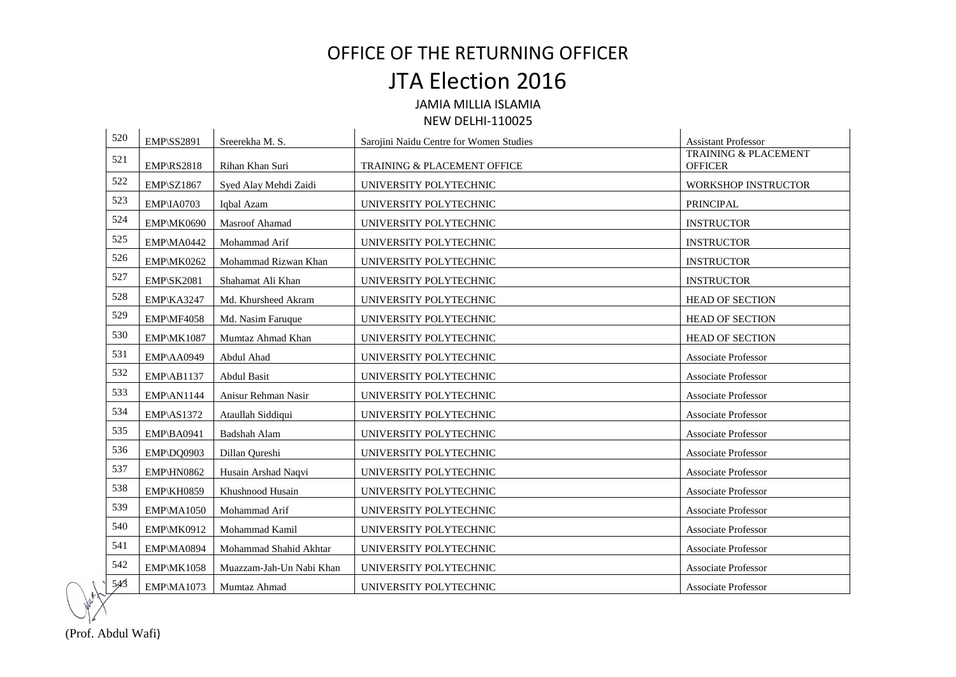# JTA Election 2016

JAMIA MILLIA ISLAMIA

NEW DELHI-110025

| 520 | EMP\SS2891        | Sreerekha M. S.          | Sarojini Naidu Centre for Women Studies | <b>Assistant Professor</b>                        |
|-----|-------------------|--------------------------|-----------------------------------------|---------------------------------------------------|
| 521 | EMP\RS2818        | Rihan Khan Suri          | TRAINING & PLACEMENT OFFICE             | <b>TRAINING &amp; PLACEMENT</b><br><b>OFFICER</b> |
| 522 | EMP\SZ1867        | Syed Alay Mehdi Zaidi    | UNIVERSITY POLYTECHNIC                  | WORKSHOP INSTRUCTOR                               |
| 523 | EMP\IA0703        | Iqbal Azam               | UNIVERSITY POLYTECHNIC                  | PRINCIPAL                                         |
| 524 | EMP\MK0690        | Masroof Ahamad           | UNIVERSITY POLYTECHNIC                  | <b>INSTRUCTOR</b>                                 |
| 525 | EMP\MA0442        | Mohammad Arif            | UNIVERSITY POLYTECHNIC                  | <b>INSTRUCTOR</b>                                 |
| 526 | EMP\MK0262        | Mohammad Rizwan Khan     | UNIVERSITY POLYTECHNIC                  | <b>INSTRUCTOR</b>                                 |
| 527 | EMP\SK2081        | Shahamat Ali Khan        | UNIVERSITY POLYTECHNIC                  | <b>INSTRUCTOR</b>                                 |
| 528 | EMP\KA3247        | Md. Khursheed Akram      | UNIVERSITY POLYTECHNIC                  | <b>HEAD OF SECTION</b>                            |
| 529 | EMP\MF4058        | Md. Nasim Faruque        | UNIVERSITY POLYTECHNIC                  | <b>HEAD OF SECTION</b>                            |
| 530 | EMP\MK1087        | Mumtaz Ahmad Khan        | UNIVERSITY POLYTECHNIC                  | <b>HEAD OF SECTION</b>                            |
| 531 | EMP\AA0949        | Abdul Ahad               | UNIVERSITY POLYTECHNIC                  | <b>Associate Professor</b>                        |
| 532 | EMP\AB1137        | Abdul Basit              | UNIVERSITY POLYTECHNIC                  | Associate Professor                               |
| 533 | EMP\AN1144        | Anisur Rehman Nasir      | UNIVERSITY POLYTECHNIC                  | Associate Professor                               |
| 534 | EMP\AS1372        | Ataullah Siddiqui        | UNIVERSITY POLYTECHNIC                  | <b>Associate Professor</b>                        |
| 535 | EMP\BA0941        | Badshah Alam             | UNIVERSITY POLYTECHNIC                  | Associate Professor                               |
| 536 | EMP\DQ0903        | Dillan Qureshi           | UNIVERSITY POLYTECHNIC                  | <b>Associate Professor</b>                        |
| 537 | EMP\HN0862        | Husain Arshad Naqvi      | UNIVERSITY POLYTECHNIC                  | <b>Associate Professor</b>                        |
| 538 | EMP\KH0859        | Khushnood Husain         | UNIVERSITY POLYTECHNIC                  | Associate Professor                               |
| 539 | EMP\MA1050        | Mohammad Arif            | UNIVERSITY POLYTECHNIC                  | <b>Associate Professor</b>                        |
| 540 | EMP\MK0912        | Mohammad Kamil           | UNIVERSITY POLYTECHNIC                  | <b>Associate Professor</b>                        |
| 541 | EMP\MA0894        | Mohammad Shahid Akhtar   | UNIVERSITY POLYTECHNIC                  | Associate Professor                               |
| 542 | <b>EMP\MK1058</b> | Muazzam-Jah-Un Nabi Khan | UNIVERSITY POLYTECHNIC                  | <b>Associate Professor</b>                        |
| 543 | EMP\MA1073        | Mumtaz Ahmad             | UNIVERSITY POLYTECHNIC                  | <b>Associate Professor</b>                        |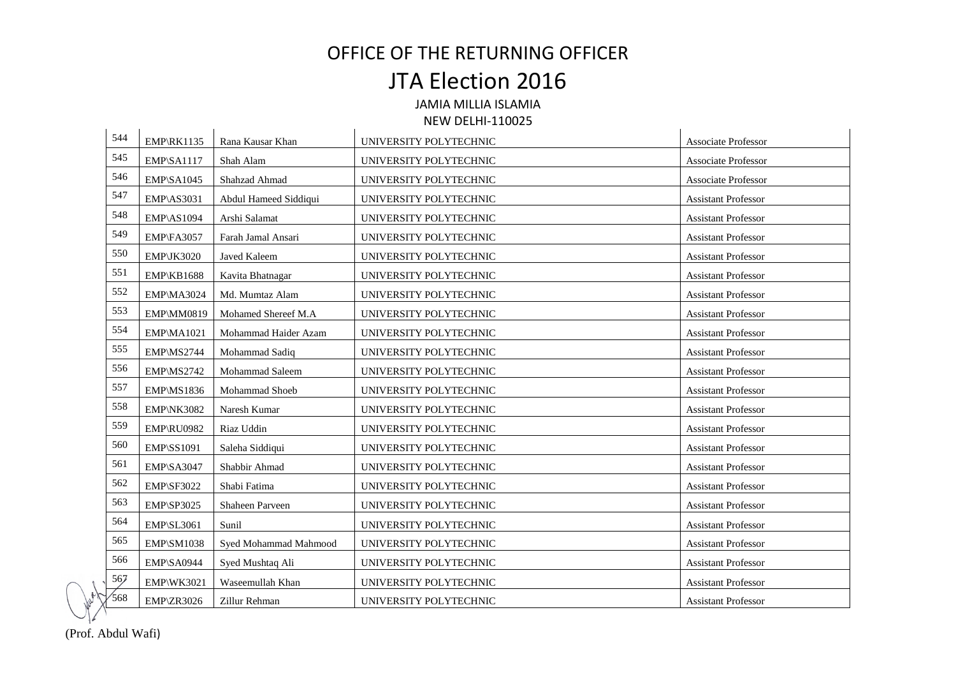# JTA Election 2016

JAMIA MILLIA ISLAMIA

| EMP\RK1135 | Rana Kausar Khan      | UNIVERSITY POLYTECHNIC | Associate Professor        |
|------------|-----------------------|------------------------|----------------------------|
| EMP\SA1117 | Shah Alam             | UNIVERSITY POLYTECHNIC | Associate Professor        |
| EMP\SA1045 | Shahzad Ahmad         | UNIVERSITY POLYTECHNIC | <b>Associate Professor</b> |
| EMP\AS3031 | Abdul Hameed Siddiqui | UNIVERSITY POLYTECHNIC | <b>Assistant Professor</b> |
| EMP\AS1094 | Arshi Salamat         | UNIVERSITY POLYTECHNIC | <b>Assistant Professor</b> |
| EMP\FA3057 | Farah Jamal Ansari    | UNIVERSITY POLYTECHNIC | <b>Assistant Professor</b> |
| EMP\JK3020 | Javed Kaleem          | UNIVERSITY POLYTECHNIC | <b>Assistant Professor</b> |
| EMP\KB1688 | Kavita Bhatnagar      | UNIVERSITY POLYTECHNIC | <b>Assistant Professor</b> |
| EMP\MA3024 | Md. Mumtaz Alam       | UNIVERSITY POLYTECHNIC | <b>Assistant Professor</b> |
| EMP\MM0819 | Mohamed Shereef M.A   | UNIVERSITY POLYTECHNIC | <b>Assistant Professor</b> |
| EMP\MA1021 | Mohammad Haider Azam  | UNIVERSITY POLYTECHNIC | <b>Assistant Professor</b> |
| EMP\MS2744 | Mohammad Sadiq        | UNIVERSITY POLYTECHNIC | <b>Assistant Professor</b> |
| EMP\MS2742 | Mohammad Saleem       | UNIVERSITY POLYTECHNIC | <b>Assistant Professor</b> |
| EMP\MS1836 | Mohammad Shoeb        | UNIVERSITY POLYTECHNIC | <b>Assistant Professor</b> |
| EMP\NK3082 | Naresh Kumar          | UNIVERSITY POLYTECHNIC | <b>Assistant Professor</b> |
| EMP\RU0982 | Riaz Uddin            | UNIVERSITY POLYTECHNIC | <b>Assistant Professor</b> |
| EMP\SS1091 | Saleha Siddiqui       | UNIVERSITY POLYTECHNIC | <b>Assistant Professor</b> |
| EMP\SA3047 | Shabbir Ahmad         | UNIVERSITY POLYTECHNIC | <b>Assistant Professor</b> |
| EMP\SF3022 | Shabi Fatima          | UNIVERSITY POLYTECHNIC | <b>Assistant Professor</b> |
| EMP\SP3025 | Shaheen Parveen       | UNIVERSITY POLYTECHNIC | <b>Assistant Professor</b> |
| EMP\SL3061 | Sunil                 | UNIVERSITY POLYTECHNIC | <b>Assistant Professor</b> |
| EMP\SM1038 | Syed Mohammad Mahmood | UNIVERSITY POLYTECHNIC | <b>Assistant Professor</b> |
| EMP\SA0944 | Syed Mushtaq Ali      | UNIVERSITY POLYTECHNIC | <b>Assistant Professor</b> |
| EMP\WK3021 | Waseemullah Khan      | UNIVERSITY POLYTECHNIC | <b>Assistant Professor</b> |
| EMP\ZR3026 | Zillur Rehman         | UNIVERSITY POLYTECHNIC | <b>Assistant Professor</b> |
|            |                       |                        |                            |